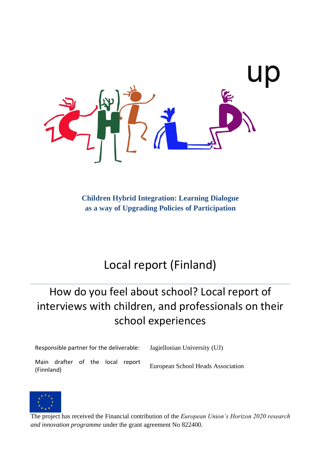

**Children Hybrid Integration: Learning Dialogue as a way of Upgrading Policies of Participation**

# Local report (Finland)

# How do you feel about school? Local report of interviews with children, and professionals on their school experiences

Responsible partner for the deliverable: Jagiellonian University (UJ)

Main drafter of the local report Friedmund Charles School Heads Association<br>
European School Heads Association



The project has received the Financial contribution of the *European Union's Horizon 2020 research and innovation programme* under the grant agreement No 822400.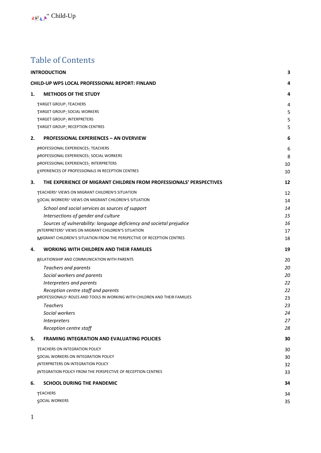## Table of Contents

|    | <b>INTRODUCTION</b>                                                        | 3  |
|----|----------------------------------------------------------------------------|----|
|    | <b>CHILD-UP WP5 LOCAL PROFESSIONAL REPORT: FINLAND</b>                     | 4  |
| 1. | <b>METHODS OF THE STUDY</b>                                                | 4  |
|    | TARGET GROUP: TEACHERS                                                     | 4  |
|    | TARGET GROUP: SOCIAL WORKERS                                               | 5  |
|    | TARGET GROUP: INTERPRETERS                                                 | 5  |
|    | TARGET GROUP: RECEPTION CENTRES                                            | 5  |
| 2. | <b>PROFESSIONAL EXPERIENCES - AN OVERVIEW</b>                              | 6  |
|    | PROFESSIONAL EXPERIENCES: TEACHERS                                         | 6  |
|    | <b>PROFESSIONAL EXPERIENCES: SOCIAL WORKERS</b>                            | 8  |
|    | pROFESSIONAL EXPERIENCES: INTERPRETERS                                     | 10 |
|    | EXPERIENCES OF PROFESSIONALS IN RECEPTION CENTRES                          | 10 |
| 3. | THE EXPERIENCE OF MIGRANT CHILDREN FROM PROFESSIONALS' PERSPECTIVES        | 12 |
|    | TEACHERS' VIEWS ON MIGRANT CHILDREN'S SITUATION                            | 12 |
|    | SOCIAL WORKERS' VIEWS ON MIGRANT CHILDREN'S SITUATION                      | 14 |
|    | School and social services as sources of support                           | 14 |
|    | Intersections of gender and culture                                        | 15 |
|    | Sources of vulnerability: language deficiency and societal prejudice       | 16 |
|    | INTERPRETERS' VIEWS ON MIGRANT CHILDREN'S SITUATION                        | 17 |
|    | MIGRANT CHILDREN'S SITUATION FROM THE PERSPECTIVE OF RECEPTION CENTRES     | 18 |
| 4. | <b>WORKING WITH CHILDREN AND THEIR FAMILIES</b>                            | 19 |
|    | RELATIONSHIP AND COMMUNICATION WITH PARENTS                                | 20 |
|    | Teachers and parents                                                       | 20 |
|    | Social workers and parents                                                 | 20 |
|    | Interpreters and parents                                                   | 22 |
|    | Reception centre staff and parents                                         | 22 |
|    | pROFESSIONALS' ROLES AND TOOLS IN WORKING WITH CHILDREN AND THEIR FAMILIES | 23 |
|    | <b>Teachers</b>                                                            | 23 |
|    | Social workers                                                             | 24 |
|    | Interpreters                                                               | 27 |
|    | Reception centre staff                                                     | 28 |
| 5. | <b>FRAMING INTEGRATION AND EVALUATING POLICIES</b>                         | 30 |
|    | TEACHERS ON INTEGRATION POLICY                                             | 30 |
|    | <b>SOCIAL WORKERS ON INTEGRATION POLICY</b>                                | 30 |
|    | <b>INTERPRETERS ON INTEGRATION POLICY</b>                                  | 32 |
|    | <b>INTEGRATION POLICY FROM THE PERSPECTIVE OF RECEPTION CENTRES</b>        | 33 |
| 6. | <b>SCHOOL DURING THE PANDEMIC</b>                                          | 34 |
|    | <b>TEACHERS</b>                                                            | 34 |
|    | <b>SOCIAL WORKERS</b>                                                      | 35 |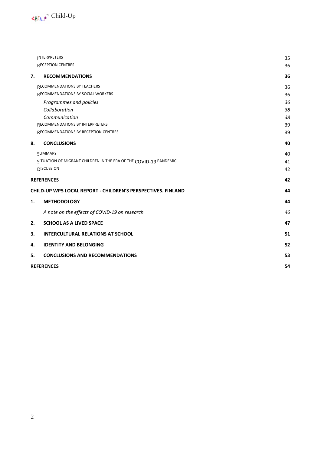

|                                                                     | <b>INTERPRETERS</b>                                               | 35 |  |
|---------------------------------------------------------------------|-------------------------------------------------------------------|----|--|
|                                                                     | <b>RECEPTION CENTRES</b>                                          | 36 |  |
| 7.                                                                  | <b>RECOMMENDATIONS</b>                                            | 36 |  |
|                                                                     | RECOMMENDATIONS BY TEACHERS                                       | 36 |  |
|                                                                     | RECOMMENDATIONS BY SOCIAL WORKERS                                 | 36 |  |
|                                                                     | Programmes and policies                                           | 36 |  |
|                                                                     | Collaboration                                                     | 38 |  |
|                                                                     | Communication                                                     | 38 |  |
|                                                                     | RECOMMENDATIONS BY INTERPRETERS                                   | 39 |  |
|                                                                     | RECOMMENDATIONS BY RECEPTION CENTRES                              | 39 |  |
| 8.                                                                  | <b>CONCLUSIONS</b>                                                | 40 |  |
|                                                                     | SUMMARY                                                           | 40 |  |
|                                                                     | SITUATION OF MIGRANT CHILDREN IN THE ERA OF THE COVID-19 PANDEMIC | 41 |  |
|                                                                     | <b>DISCUSSION</b>                                                 | 42 |  |
| <b>REFERENCES</b>                                                   |                                                                   |    |  |
| <b>CHILD-UP WP5 LOCAL REPORT - CHILDREN'S PERSPECTIVES. FINLAND</b> |                                                                   |    |  |
| 1.                                                                  | <b>METHODOLOGY</b>                                                | 44 |  |
|                                                                     | A note on the effects of COVID-19 on research                     | 46 |  |
| 2.                                                                  | <b>SCHOOL AS A LIVED SPACE</b>                                    | 47 |  |
| 3.                                                                  | <b>INTERCULTURAL RELATIONS AT SCHOOL</b>                          | 51 |  |
| 4.                                                                  | <b>IDENTITY AND BELONGING</b>                                     | 52 |  |
| 5.                                                                  | <b>CONCLUSIONS AND RECOMMENDATIONS</b>                            | 53 |  |
|                                                                     | <b>REFERENCES</b><br>54                                           |    |  |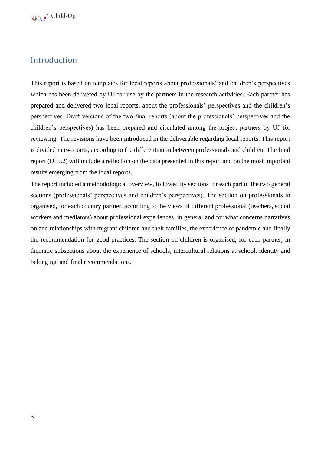## <span id="page-3-0"></span>Introduction

This report is based on templates for local reports about professionals' and children's perspectives which has been delivered by UJ for use by the partners in the research activities. Each partner has prepared and delivered two local reports, about the professionals' perspectives and the children's perspectives. Draft versions of the two final reports (about the professionals' perspectives and the children's perspectives) has been prepared and circulated among the project partners by UJ for reviewing. The revisions have been introduced in the deliverable regarding local reports. This report is divided in two parts, according to the differentiation between professionals and children. The final report (D. 5.2) will include a reflection on the data presented in this report and on the most important results emerging from the local reports.

The report included a methodological overview, followed by sections for each part of the two general sections (professionals' perspectives and children's perspectives). The section on professionals in organised, for each country partner, according to the views of different professional (teachers, social workers and mediators) about professional experiences, in general and for what concerns narratives on and relationships with migrant children and their families, the experience of pandemic and finally the recommendation for good practices. The section on children is organised, for each partner, in thematic subsections about the experience of schools, intercultural relations at school, identity and belonging, and final recommendations.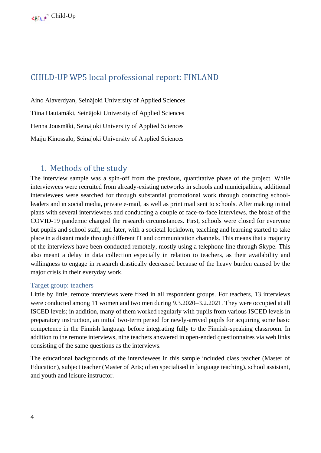## <span id="page-4-0"></span>CHILD-UP WP5 local professional report: FINLAND

Aino Alaverdyan, Seinäjoki University of Applied Sciences Tiina Hautamäki, Seinäjoki University of Applied Sciences Henna Jousmäki, Seinäjoki University of Applied Sciences Maiju Kinossalo, Seinäjoki University of Applied Sciences

## <span id="page-4-1"></span>1. Methods of the study

The interview sample was a spin-off from the previous, quantitative phase of the project. While interviewees were recruited from already-existing networks in schools and municipalities, additional interviewees were searched for through substantial promotional work through contacting schoolleaders and in social media, private e-mail, as well as print mail sent to schools. After making initial plans with several interviewees and conducting a couple of face-to-face interviews, the broke of the COVID-19 pandemic changed the research circumstances. First, schools were closed for everyone but pupils and school staff, and later, with a societal lockdown, teaching and learning started to take place in a distant mode through different IT and communication channels. This means that a majority of the interviews have been conducted remotely, mostly using a telephone line through Skype. This also meant a delay in data collection especially in relation to teachers, as their availability and willingness to engage in research drastically decreased because of the heavy burden caused by the major crisis in their everyday work.

### <span id="page-4-2"></span>Target group: teachers

Little by little, remote interviews were fixed in all respondent groups. For teachers, 13 interviews were conducted among 11 women and two men during 9.3.2020–3.2.2021. They were occupied at all ISCED levels; in addition, many of them worked regularly with pupils from various ISCED levels in preparatory instruction, an initial two-term period for newly-arrived pupils for acquiring some basic competence in the Finnish language before integrating fully to the Finnish-speaking classroom. In addition to the remote interviews, nine teachers answered in open-ended questionnaires via web links consisting of the same questions as the interviews.

The educational backgrounds of the interviewees in this sample included class teacher (Master of Education), subject teacher (Master of Arts; often specialised in language teaching), school assistant, and youth and leisure instructor.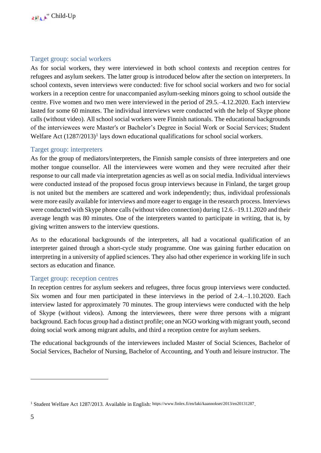## <span id="page-5-0"></span>Target group: social workers

As for social workers, they were interviewed in both school contexts and reception centres for refugees and asylum seekers. The latter group is introduced below after the section on interpreters. In school contexts, seven interviews were conducted: five for school social workers and two for social workers in a reception centre for unaccompanied asylum-seeking minors going to school outside the centre. Five women and two men were interviewed in the period of 29.5.–4.12.2020. Each interview lasted for some 60 minutes. The individual interviews were conducted with the help of Skype phone calls (without video). All school social workers were Finnish nationals. The educational backgrounds of the interviewees were Master's or Bachelor's Degree in Social Work or Social Services; Student Welfare Act (1287/2013)<sup>1</sup> lays down educational qualifications for school social workers.

## <span id="page-5-1"></span>Target group: interpreters

As for the group of mediators/interpreters, the Finnish sample consists of three interpreters and one mother tongue counsellor. All the interviewees were women and they were recruited after their response to our call made via interpretation agencies as well as on social media. Individual interviews were conducted instead of the proposed focus group interviews because in Finland, the target group is not united but the members are scattered and work independently; thus, individual professionals were more easily available for interviews and more eager to engage in the research process. Interviews were conducted with Skype phone calls (without video connection) during 12.6.–19.11.2020 and their average length was 80 minutes. One of the interpreters wanted to participate in writing, that is, by giving written answers to the interview questions.

As to the educational backgrounds of the interpreters, all had a vocational qualification of an interpreter gained through a short-cycle study programme. One was gaining further education on interpreting in a university of applied sciences. They also had other experience in working life in such sectors as education and finance.

### <span id="page-5-2"></span>Target group: reception centres

In reception centres for asylum seekers and refugees, three focus group interviews were conducted. Six women and four men participated in these interviews in the period of 2.4.–1.10.2020. Each interview lasted for approximately 70 minutes. The group interviews were conducted with the help of Skype (without videos). Among the interviewees, there were three persons with a migrant background. Each focus group had a distinct profile; one an NGO working with migrant youth, second doing social work among migrant adults, and third a reception centre for asylum seekers.

The educational backgrounds of the interviewees included Master of Social Sciences, Bachelor of Social Services, Bachelor of Nursing, Bachelor of Accounting, and Youth and leisure instructor. The

<sup>&</sup>lt;sup>1</sup> Student Welfare Act 1287/2013. Available in English: <https://www.finlex.fi/en/laki/kaannokset/2013/en20131287>.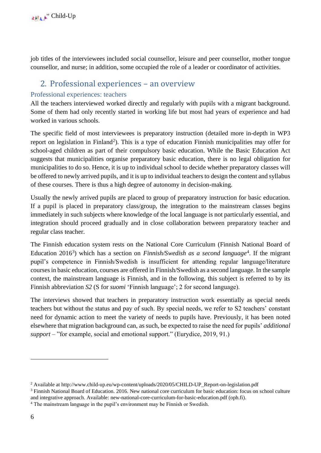job titles of the interviewees included social counsellor, leisure and peer counsellor, mother tongue counsellor, and nurse; in addition, some occupied the role of a leader or coordinator of activities.

## <span id="page-6-0"></span>2. Professional experiences – an overview

## <span id="page-6-1"></span>Professional experiences: teachers

All the teachers interviewed worked directly and regularly with pupils with a migrant background. Some of them had only recently started in working life but most had years of experience and had worked in various schools.

The specific field of most interviewees is preparatory instruction (detailed more in-depth in WP3 report on legislation in Finland<sup>2</sup>). This is a type of education Finnish municipalities may offer for school-aged children as part of their compulsory basic education. While the Basic Education Act suggests that municipalities organise preparatory basic education, there is no legal obligation for municipalities to do so. Hence, it is up to individual school to decide whether preparatory classes will be offered to newly arrived pupils, and it is up to individual teachers to design the content and syllabus of these courses. There is thus a high degree of autonomy in decision-making.

Usually the newly arrived pupils are placed to group of preparatory instruction for basic education. If a pupil is placed in preparatory class/group, the integration to the mainstream classes begins immediately in such subjects where knowledge of the local language is not particularly essential, and integration should proceed gradually and in close collaboration between preparatory teacher and regular class teacher.

The Finnish education system rests on the National Core Curriculum (Finnish National Board of Education 2016<sup>3</sup>) which has a section on *Finnish/Swedish as a second language*<sup>4</sup>. If the migrant pupil's competence in Finnish/Swedish is insufficient for attending regular language/literature courses in basic education, courses are offered in Finnish/Swedish as a second language. In the sample context, the mainstream language is Finnish, and in the following, this subject is referred to by its Finnish abbreviation *S2* (S for *suomi* 'Finnish language'; 2 for second language).

The interviews showed that teachers in preparatory instruction work essentially as special needs teachers but without the status and pay of such. By special needs, we refer to S2 teachers' constant need for dynamic action to meet the variety of needs to pupils have. Previously, it has been noted elsewhere that migration background can, as such, be expected to raise the need for pupils' *additional support –* "for example, social and emotional support." (Eurydice, 2019, 91.)

<sup>&</sup>lt;sup>2</sup> Available a[t http://www.child-up.eu/wp-content/uploads/2020/05/CHILD-UP\\_Report-on-legislation.pdf](http://www.child-up.eu/wp-content/uploads/2020/05/CHILD-UP_Report-on-legislation.pdf)

<sup>&</sup>lt;sup>3</sup> Finnish National Board of Education. 2016. New national core curriculum for basic education: focus on school culture and integrative approach. Available[: new-national-core-curriculum-for-basic-education.pdf \(oph.fi\).](https://www.oph.fi/sites/default/files/documents/new-national-core-curriculum-for-basic-education.pdf) 

<sup>4</sup> The mainstream language in the pupil's environment may be Finnish or Swedish.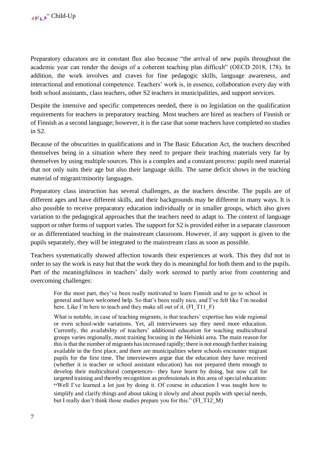Preparatory educators are in constant flux also because "the arrival of new pupils throughout the academic year can render the design of a coherent teaching plan difficult" (OECD 2018, 178). In addition, the work involves and craves for fine pedagogic skills, language awareness, and interactional and emotional competence. Teachers' work is, in essence, collaboration every day with both school assistants, class teachers, other S2 teachers in municipalities, and support services.

Despite the intensive and specific competences needed, there is no legislation on the qualification requirements for teachers in preparatory teaching. Most teachers are hired as teachers of Finnish or of Finnish as a second language; however, it is the case that some teachers have completed no studies in S2.

Because of the obscurities in qualifications and in The Basic Education Act, the teachers described themselves being in a situation where they need to prepare their teaching materials very far by themselves by using multiple sources. This is a complex and a constant process: pupils need material that not only suits their age but also their language skills. The same deficit shows in the teaching material of migrant/minority languages.

Preparatory class instruction has several challenges, as the teachers describe. The pupils are of different ages and have different skills, and their backgrounds may be different in many ways. It is also possible to receive preparatory education individually or in smaller groups, which also gives variation to the pedagogical approaches that the teachers need to adapt to. The context of language support or other forms of support varies. The support for S2 is provided either in a separate classroom or as differentiated teaching in the mainstream classroom. However, if any support is given to the pupils separately, they will be integrated to the mainstream class as soon as possible.

Teachers systematically showed affection towards their experiences at work. This they did not in order to say the work is easy but that the work they do is meaningful for both them and to the pupils. Part of the meaningfulness in teachers' daily work seemed to partly arise from countering and overcoming challenges:

For the most part, they've been really motivated to learn Finnish and to go to school in general and have welcomed help. So that's been really nice, and I've felt like I'm needed here. Like I'm here to teach and they make all out of it. (FI\_T11\_F)

What is notable, in case of teaching migrants, is that teachers' expertise has wide regional or even school-wide variations. Yet, all interviewees say they need more education. Currently, the availability of teachers' additional education for teaching multicultural groups varies regionally, most training focusing in the Helsinki area. The main reason for this is that the number of migrants has increased rapidly; there is not enough further training available in the first place, and there are municipalities where schools encounter migrant pupils for the first time. The interviewees argue that the education they have received (whether it is teacher or school assistant education) has not prepared them enough to develop their multicultural competences– they have learnt by doing, but now call for targeted training and thereby recognition as professionals in this area of special education: "Well I've learned a lot just by doing it. Of course in education I was taught how to simplify and clarify things and about taking it slowly and about pupils with special needs, but I really don't think those studies prepare you for this." (FI\_T12\_M)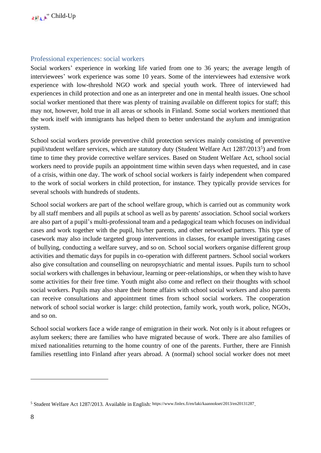#### <span id="page-8-0"></span>Professional experiences: social workers

Social workers' experience in working life varied from one to 36 years; the average length of interviewees' work experience was some 10 years. Some of the interviewees had extensive work experience with low-threshold NGO work and special youth work. Three of interviewed had experiences in child protection and one as an interpreter and one in mental health issues. One school social worker mentioned that there was plenty of training available on different topics for staff; this may not, however, hold true in all areas or schools in Finland. Some social workers mentioned that the work itself with immigrants has helped them to better understand the asylum and immigration system.

School social workers provide preventive child protection services mainly consisting of preventive pupil/student welfare services, which are statutory duty (Student Welfare Act 1287/2013<sup>5</sup>) and from time to time they provide corrective welfare services. Based on Student Welfare Act, school social workers need to provide pupils an appointment time within seven days when requested, and in case of a crisis, within one day. The work of school social workers is fairly independent when compared to the work of social workers in child protection, for instance. They typically provide services for several schools with hundreds of students.

School social workers are part of the school welfare group, which is carried out as community work by all staff members and all pupils at school as well as by parents' association. School social workers are also part of a pupil's multi-professional team and a pedagogical team which focuses on individual cases and work together with the pupil, his/her parents, and other networked partners. This type of casework may also include targeted group interventions in classes, for example investigating cases of bullying, conducting a welfare survey, and so on. School social workers organise different group activities and thematic days for pupils in co-operation with different partners. School social workers also give consultation and counselling on neuropsychiatric and mental issues. Pupils turn to school social workers with challenges in behaviour, learning or peer-relationships, or when they wish to have some activities for their free time. Youth might also come and reflect on their thoughts with school social workers. Pupils may also share their home affairs with school social workers and also parents can receive consultations and appointment times from school social workers. The cooperation network of school social worker is large: child protection, family work, youth work, police, NGOs, and so on.

School social workers face a wide range of emigration in their work. Not only is it about refugees or asylum seekers; there are families who have migrated because of work. There are also families of mixed nationalities returning to the home country of one of the parents. Further, there are Finnish families resettling into Finland after years abroad. A (normal) school social worker does not meet

<sup>5</sup> Student Welfare Act 1287/2013. Available in English: <https://www.finlex.fi/en/laki/kaannokset/2013/en20131287>.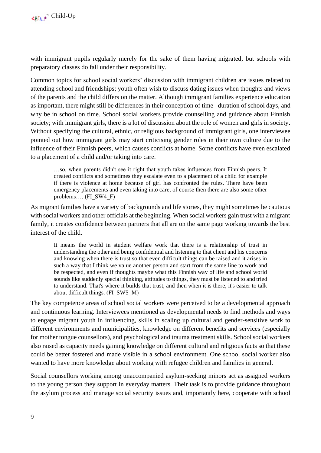with immigrant pupils regularly merely for the sake of them having migrated, but schools with preparatory classes do fall under their responsibility.

Common topics for school social workers' discussion with immigrant children are issues related to attending school and friendships; youth often wish to discuss dating issues when thoughts and views of the parents and the child differs on the matter. Although immigrant families experience education as important, there might still be differences in their conception of time– duration of school days, and why be in school on time. School social workers provide counselling and guidance about Finnish society; with immigrant girls, there is a lot of discussion about the role of women and girls in society. Without specifying the cultural, ethnic, or religious background of immigrant girls, one interviewee pointed out how immigrant girls may start criticising gender roles in their own culture due to the influence of their Finnish peers, which causes conflicts at home. Some conflicts have even escalated to a placement of a child and/or taking into care.

…so, when parents didn't see it right that youth takes influences from Finnish peers. It created conflicts and sometimes they escalate even to a placement of a child for example if there is violence at home because of girl has confronted the rules. There have been emergency placements and even taking into care, of course then there are also some other problems…. (FI\_SW4\_F)

As migrant families have a variety of backgrounds and life stories, they might sometimes be cautious with social workers and other officials at the beginning. When social workers gain trust with a migrant family, it creates confidence between partners that all are on the same page working towards the best interest of the child.

It means the world in student welfare work that there is a relationship of trust in understanding the other and being confidential and listening to that client and his concerns and knowing when there is trust so that even difficult things can be raised and it arises in such a way that I think we value another person and start from the same line to work and be respected, and even if thoughts maybe what this Finnish way of life and school world sounds like suddenly special thinking, attitudes to things, they must be listened to and tried to understand. That's where it builds that trust, and then when it is there, it's easier to talk about difficult things. (FI\_SW5\_M)

The key competence areas of school social workers were perceived to be a developmental approach and continuous learning. Interviewees mentioned as developmental needs to find methods and ways to engage migrant youth in influencing, skills in scaling up cultural and gender-sensitive work to different environments and municipalities, knowledge on different benefits and services (especially for mother tongue counsellors), and psychological and trauma treatment skills. School social workers also raised as capacity needs gaining knowledge on different cultural and religious facts so that these could be better fostered and made visible in a school environment. One school social worker also wanted to have more knowledge about working with refugee children and families in general.

Social counsellors working among unaccompanied asylum-seeking minors act as assigned workers to the young person they support in everyday matters. Their task is to provide guidance throughout the asylum process and manage social security issues and, importantly here, cooperate with school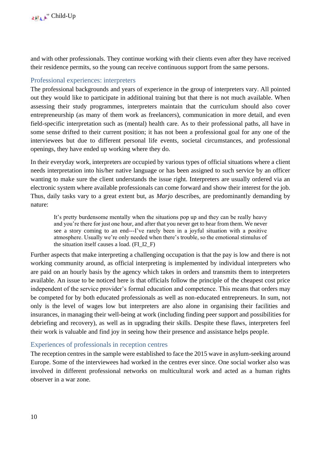and with other professionals. They continue working with their clients even after they have received their residence permits, so the young can receive continuous support from the same persons.

## <span id="page-10-0"></span>Professional experiences: interpreters

The professional backgrounds and years of experience in the group of interpreters vary. All pointed out they would like to participate in additional training but that there is not much available. When assessing their study programmes, interpreters maintain that the curriculum should also cover entrepreneurship (as many of them work as freelancers), communication in more detail, and even field-specific interpretation such as (mental) health care. As to their professional paths, all have in some sense drifted to their current position; it has not been a professional goal for any one of the interviewees but due to different personal life events, societal circumstances, and professional openings, they have ended up working where they do.

In their everyday work, interpreters are occupied by various types of official situations where a client needs interpretation into his/her native language or has been assigned to such service by an officer wanting to make sure the client understands the issue right. Interpreters are usually ordered via an electronic system where available professionals can come forward and show their interest for the job. Thus, daily tasks vary to a great extent but, as *Marjo* describes, are predominantly demanding by nature:

It's pretty burdensome mentally when the situations pop up and they can be really heavy and you're there for just one hour, and after that you never get to hear from them. We never see a story coming to an end---I've rarely been in a joyful situation with a positive atmosphere. Usually we're only needed when there's trouble, so the emotional stimulus of the situation itself causes a load. (FI\_I2\_F)

Further aspects that make interpreting a challenging occupation is that the pay is low and there is not working community around, as official interpreting is implemented by individual interpreters who are paid on an hourly basis by the agency which takes in orders and transmits them to interpreters available. An issue to be noticed here is that officials follow the principle of the cheapest cost price independent of the service provider's formal education and competence. This means that orders may be competed for by both educated professionals as well as non-educated entrepreneurs. In sum, not only is the level of wages low but interpreters are also alone in organising their facilities and insurances, in managing their well-being at work (including finding peer support and possibilities for debriefing and recovery), as well as in upgrading their skills. Despite these flaws, interpreters feel their work is valuable and find joy in seeing how their presence and assistance helps people.

### <span id="page-10-1"></span>Experiences of professionals in reception centres

The reception centres in the sample were established to face the 2015 wave in asylum-seeking around Europe. Some of the interviewees had worked in the centres ever since. One social worker also was involved in different professional networks on multicultural work and acted as a human rights observer in a war zone.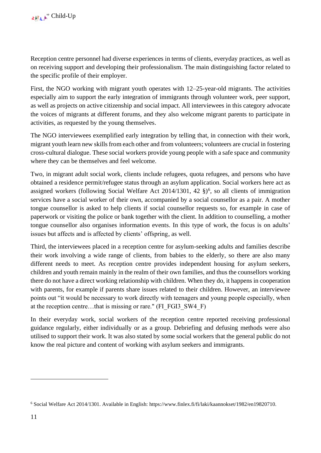Reception centre personnel had diverse experiences in terms of clients, everyday practices, as well as on receiving support and developing their professionalism. The main distinguishing factor related to the specific profile of their employer.

First, the NGO working with migrant youth operates with 12–25-year-old migrants. The activities especially aim to support the early integration of immigrants through volunteer work, peer support, as well as projects on active citizenship and social impact. All interviewees in this category advocate the voices of migrants at different forums, and they also welcome migrant parents to participate in activities, as requested by the young themselves.

The NGO interviewees exemplified early integration by telling that, in connection with their work, migrant youth learn new skills from each other and from volunteers; volunteers are crucial in fostering cross-cultural dialogue. These social workers provide young people with a safe space and community where they can be themselves and feel welcome.

Two, in migrant adult social work, clients include refugees, quota refugees, and persons who have obtained a residence permit/refugee status through an asylum application. Social workers here act as assigned workers (following Social Welfare Act 2014/1301, 42  $\S$ <sup>6</sup>, so all clients of immigration services have a social worker of their own, accompanied by a social counsellor as a pair. A mother tongue counsellor is asked to help clients if social counsellor requests so, for example in case of paperwork or visiting the police or bank together with the client. In addition to counselling, a mother tongue counsellor also organises information events. In this type of work, the focus is on adults' issues but affects and is affected by clients' offspring, as well.

Third, the interviewees placed in a reception centre for asylum-seeking adults and families describe their work involving a wide range of clients, from babies to the elderly, so there are also many different needs to meet. As reception centre provides independent housing for asylum seekers, children and youth remain mainly in the realm of their own families, and thus the counsellors working there do not have a direct working relationship with children. When they do, it happens in cooperation with parents, for example if parents share issues related to their children. However, an interviewee points out "it would be necessary to work directly with teenagers and young people especially, when at the reception centre…that is missing or rare." (FI\_FGI3\_SW4\_F)

In their everyday work, social workers of the reception centre reported receiving professional guidance regularly, either individually or as a group. Debriefing and defusing methods were also utilised to support their work. It was also stated by some social workers that the general public do not know the real picture and content of working with asylum seekers and immigrants.

<sup>6</sup> Social Welfare Act 2014/1301. Available in English: [https://www.finlex.fi/fi/laki/kaannokset/1982/en19820710.](https://www.finlex.fi/fi/laki/kaannokset/1982/en19820710)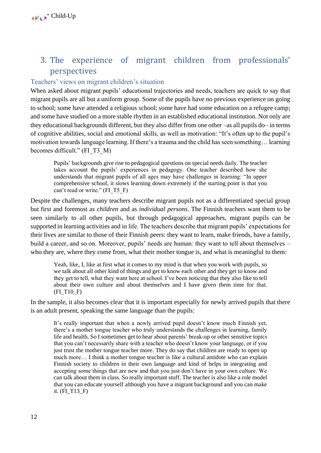## <span id="page-12-0"></span>3. The experience of migrant children from professionals' perspectives

## <span id="page-12-1"></span>Teachers' views on migrant children's situation

When asked about migrant pupils' educational trajectories and needs, teachers are quick to say that migrant pupils are all but a uniform group. Some of the pupils have no previous experience on going to school; some have attended a religious school; some have had some education on a refugee camp; and some have studied on a more stable rhythm in an established educational institution. Not only are they educational backgrounds different, but they also differ from one other –as all pupils do– in terms of cognitive abilities, social and emotional skills, as well as motivation: "It's often up to the pupil's motivation towards language learning. If there's a trauma and the child has seen something… learning becomes difficult." (FI\_T3\_M)

Pupils' backgrounds give rise to pedagogical questions on special needs daily. The teacher takes account the pupils' experiences in pedagogy. One teacher described how she understands that migrant pupils of all ages may have challenges in learning: "In upper comprehensive school, it slows learning down extremely if the starting point is that you can't read or write." (FI\_T5\_F)

Despite the challenges, many teachers describe migrant pupils not as a differentiated special group but first and foremost as *children* and as *individual persons*. The Finnish teachers want them to be seen similarly to all other pupils, but through pedagogical approaches, migrant pupils can be supported in learning activities and in life. The teachers describe that migrant pupils' expectations for their lives are similar to those of their Finnish peers: they want to learn, make friends, have a family, build a career, and so on. Moreover, pupils' needs are human: they want to tell about themselves – who they are, where they come from, what their mother tongue is, and what is meaningful to them:

Yeah, like, I, like at first what it comes to my mind is that when you work with pupils, so we talk about all other kind of things and get to know each other and they get to know and they get to tell, what they want here at school. I've been noticing that they also like to tell about their own culture and about themselves and I have given them time for that. (FI\_T10\_F)

In the sample, it also becomes clear that it is important especially for newly arrived pupils that there is an adult present, speaking the same language than the pupils:

It's really important that when a newly arrived pupil doesn't know much Finnish yet, there's a mother tongue teacher who truly understands the challenges in learning, family life and health. So I sometimes get to hear about parents' break-up or other sensitive topics that you can't necessarily share with a teacher who doesn't know your language, or if you just trust the mother tongue teacher more. They do say that children are ready to open up much more… I think a mother tongue teacher is like a cultural antidote who can explain Finnish society to children in their own language and kind of helps in integrating and accepting some things that are new and that you just don't have in your own culture. We can talk about them in class. So really important stuff. The teacher is also like a role model that you can educate yourself although you have a migrant background and you can make it. (FI\_T13\_F)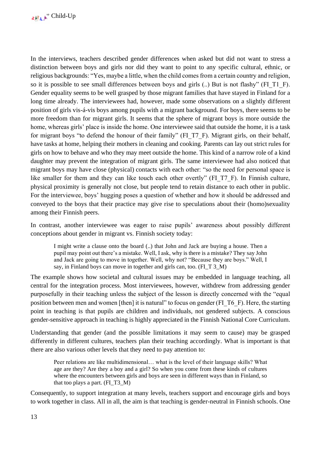In the interviews, teachers described gender differences when asked but did not want to stress a distinction between boys and girls nor did they want to point to any specific cultural, ethnic, or religious backgrounds: "Yes, maybe a little, when the child comes from a certain country and religion, so it is possible to see small differences between boys and girls (..) But is not flashy" (FI\_T1\_F). Gender equality seems to be well grasped by those migrant families that have stayed in Finland for a long time already. The interviewees had, however, made some observations on a slightly different position of girls vis-á-vis boys among pupils with a migrant background. For boys, there seems to be more freedom than for migrant girls. It seems that the sphere of migrant boys is more outside the home, whereas girls' place is inside the home. One interviewee said that outside the home, it is a task for migrant boys "to defend the honour of their family" (FI\_T7\_F). Migrant girls, on their behalf, have tasks at home, helping their mothers in cleaning and cooking. Parents can lay out strict rules for girls on how to behave and who they may meet outside the home. This kind of a narrow role of a kind daughter may prevent the integration of migrant girls. The same interviewee had also noticed that migrant boys may have close (physical) contacts with each other: "so the need for personal space is like smaller for them and they can like touch each other overtly" (FI\_T7\_F). In Finnish culture, physical proximity is generally not close, but people tend to retain distance to each other in public. For the interviewee, boys' hugging poses a question of whether and how it should be addressed and conveyed to the boys that their practice may give rise to speculations about their (homo)sexuality among their Finnish peers.

In contrast, another interviewee was eager to raise pupils' awareness about possibly different conceptions about gender in migrant vs. Finnish society today:

I might write a clause onto the board (..) that John and Jack are buying a house. Then a pupil may point out there's a mistake. Well, I ask, why is there is a mistake? They say John and Jack are going to move in together. Well, why not? "Because they are boys." Well, I say, in Finland boys can move in together and girls can, too. (FI\_T 3\_M)

The example shows how societal and cultural issues may be embedded in language teaching, all central for the integration process. Most interviewees, however, withdrew from addressing gender purposefully in their teaching unless the subject of the lesson is directly concerned with the "equal position between men and women [then] it is natural" to focus on gender (FI\_T6\_F). Here, the starting point in teaching is that pupils are children and individuals, not gendered subjects. A conscious gender-sensitive approach in teaching is highly appreciated in the Finnish National Core Curriculum.

Understanding that gender (and the possible limitations it may seem to cause) may be grasped differently in different cultures, teachers plan their teaching accordingly. What is important is that there are also various other levels that they need to pay attention to:

Peer relations are like multidimensional… what is the level of their language skills? What age are they? Are they a boy and a girl? So when you come from these kinds of cultures where the encounters between girls and boys are seen in different ways than in Finland, so that too plays a part. (FI\_T3\_M)

Consequently, to support integration at many levels, teachers support and encourage girls and boys to work together in class. All in all, the aim is that teaching is gender-neutral in Finnish schools. One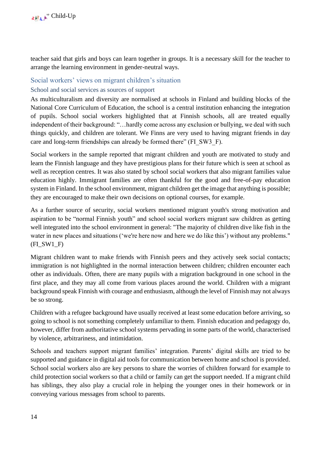teacher said that girls and boys can learn together in groups. It is a necessary skill for the teacher to arrange the learning environment in gender-neutral ways.

### <span id="page-14-0"></span>Social workers' views on migrant children's situation

#### <span id="page-14-1"></span>School and social services as sources of support

As multiculturalism and diversity are normalised at schools in Finland and building blocks of the National Core Curriculum of Education, the school is a central institution enhancing the integration of pupils. School social workers highlighted that at Finnish schools, all are treated equally independent of their background: "…hardly come across any exclusion or bullying, we deal with such things quickly, and children are tolerant. We Finns are very used to having migrant friends in day care and long-term friendships can already be formed there" (FI\_SW3\_F).

Social workers in the sample reported that migrant children and youth are motivated to study and learn the Finnish language and they have prestigious plans for their future which is seen at school as well as reception centres. It was also stated by school social workers that also migrant families value education highly. Immigrant families are often thankful for the good and free-of-pay education system in Finland. In the school environment, migrant children get the image that anything is possible; they are encouraged to make their own decisions on optional courses, for example.

As a further source of security, social workers mentioned migrant youth's strong motivation and aspiration to be "normal Finnish youth" and school social workers migrant saw children as getting well integrated into the school environment in general: "The majority of children dive like fish in the water in new places and situations ('we're here now and here we do like this') without any problems." (FI\_SW1\_F)

Migrant children want to make friends with Finnish peers and they actively seek social contacts; immigration is not highlighted in the normal interaction between children; children encounter each other as individuals. Often, there are many pupils with a migration background in one school in the first place, and they may all come from various places around the world. Children with a migrant background speak Finnish with courage and enthusiasm, although the level of Finnish may not always be so strong.

Children with a refugee background have usually received at least some education before arriving, so going to school is not something completely unfamiliar to them. Finnish education and pedagogy do, however, differ from authoritative school systems pervading in some parts of the world, characterised by violence, arbitrariness, and intimidation.

Schools and teachers support migrant families' integration. Parents' digital skills are tried to be supported and guidance in digital aid tools for communication between home and school is provided. School social workers also are key persons to share the worries of children forward for example to child protection social workers so that a child or family can get the support needed. If a migrant child has siblings, they also play a crucial role in helping the younger ones in their homework or in conveying various messages from school to parents.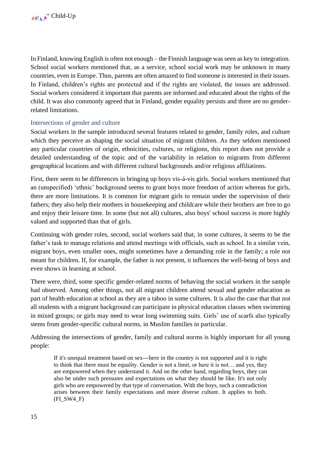In Finland, knowing English is often not enough – the Finnish language was seen as key to integration. School social workers mentioned that, as a service, school social work may be unknown in many countries, even in Europe. Thus, parents are often amazed to find someone is interested in their issues. In Finland, children's rights are protected and if the rights are violated, the issues are addressed. Social workers considered it important that parents are informed and educated about the rights of the child. It was also commonly agreed that in Finland, gender equality persists and there are no genderrelated limitations.

### <span id="page-15-0"></span>Intersections of gender and culture

Social workers in the sample introduced several features related to gender, family roles, and culture which they perceive as shaping the social situation of migrant children. As they seldom mentioned any particular countries of origin, ethnicities, cultures, or religions, this report does not provide a detailed understanding of the topic and of the variability in relation to migrants from different geographical locations and with different cultural backgrounds and/or religious affiliations.

First, there seem to be differences in bringing up boys vis-á-vis girls. Social workers mentioned that an (unspecified) 'ethnic' background seems to grant boys more freedom of action whereas for girls, there are more limitations. It is common for migrant girls to remain under the supervision of their fathers; they also help their mothers in housekeeping and childcare while their brothers are free to go and enjoy their leisure time. In some (but not all) cultures, also boys' school success is more highly valued and supported than that of girls.

Continuing with gender roles, second, social workers said that, in some cultures, it seems to be the father's task to manage relations and attend meetings with officials, such as school. In a similar vein, migrant boys, even smaller ones, might sometimes have a demanding role in the family; a role not meant for children. If, for example, the father is not present, it influences the well-being of boys and even shows in learning at school.

There were, third, some specific gender-related norms of behaving the social workers in the sample had observed. Among other things, not all migrant children attend sexual and gender education as part of health education at school as they are a taboo in some cultures. It is also the case that that not all students with a migrant background can participate in physical education classes when swimming in mixed groups; or girls may need to wear long swimming suits. Girls' use of scarfs also typically stems from gender-specific cultural norms, in Muslim families in particular.

Addressing the intersections of gender, family and cultural norms is highly important for all young people:

If it's unequal treatment based on sex---here in the country is not supported and it is right to think that there must be equality. Gender is not a limit, or here it is not… and yes, they are empowered when they understand it. And on the other hand, regarding boys, they can also be under such pressures and expectations on what they should be like. It's not only girls who are empowered by that type of conversation. With the boys, such a contradiction arises between their family expectations and more diverse culture. It applies to both.  $(FISW4F)$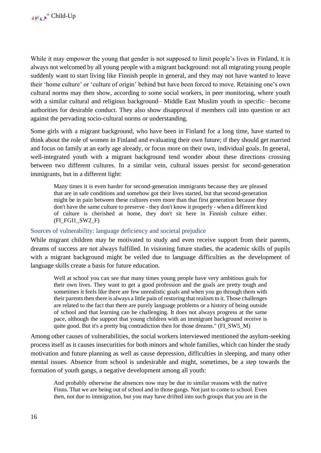While it may empower the young that gender is not supposed to limit people's lives in Finland, it is always not welcomed by all young people with a migrant background: not all migrating young people suddenly want to start living like Finnish people in general, and they may not have wanted to leave their 'home culture' or 'culture of origin' behind but have been forced to move. Retaining one's own cultural norms may then show, according to some social workers, in peer monitoring, where youth with a similar cultural and religious background– Middle East Muslim youth in specific– become authorities for desirable conduct. They also show disapproval if members call into question or act against the pervading socio-cultural norms or understanding.

Some girls with a migrant background, who have been in Finland for a long time, have started to think about the role of women in Finland and evaluating their own future; if they should get married and focus on family at an early age already, or focus more on their own, individual goals. In general, well-integrated youth with a migrant background tend wonder about these directions crossing between two different cultures. In a similar vein, cultural issues persist for second-generation immigrants, but in a different light:

Many times it is even harder for second-generation immigrants because they are pleased that are in safe conditions and somehow got their lives started, but that second-generation might be in pain between these cultures even more than that first generation because they don't have the same culture to preserve - they don't know it properly - when a different kind of culture is cherished at home, they don't sit here in Finnish culture either. (FI\_FGI1\_SW2\_F)

#### <span id="page-16-0"></span>Sources of vulnerability: language deficiency and societal prejudice

While migrant children may be motivated to study and even receive support from their parents, dreams of success are not always fulfilled. In visioning future studies, the academic skills of pupils with a migrant background might be veiled due to language difficulties as the development of language skills create a basis for future education.

Well at school you can see that many times young people have very ambitious goals for their own lives. They want to get a good profession and the goals are pretty tough and sometimes it feels like there are few unrealistic goals and when you go through them with their parents then there is always a little pain of restoring that realism to it. Those challenges are related to the fact that there are purely language problems or a history of being outside of school and that learning can be challenging. It does not always progress at the same pace, although the support that young children with an immigrant background receive is quite good. But it's a pretty big contradiction then for those dreams." (FI\_SW5\_M)

Among other causes of vulnerabilities, the social workers interviewed mentioned the asylum-seeking process itself as it causes insecurities for both minors and whole families, which can hinder the study motivation and future planning as well as cause depression, difficulties in sleeping, and many other mental issues. Absence from school is undesirable and might, sometimes, be a step towards the formation of youth gangs, a negative development among all youth:

And probably otherwise the absences now may be due to similar reasons with the native Finns. That we are being out of school and in those gangs. Not just to come to school. Even then, not due to immigration, but you may have drifted into such groups that you are in the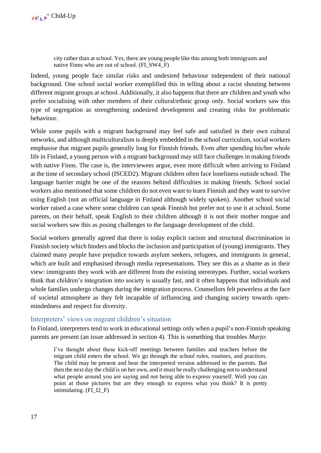city rather than at school. Yes, there are young people like this among both immigrants and native Finns who are out of school. (FI\_SW4\_F)

Indeed, young people face similar risks and undesired behaviour independent of their national background. One school social worker exemplified this in telling about a racist shouting between different migrant groups at school. Additionally, it also happens that there are children and youth who prefer socialising with other members of their cultural/ethnic group only. Social workers saw this type of segregation as strengthening undesired development and creating risks for problematic behaviour.

While some pupils with a migrant background may feel safe and satisfied in their own cultural networks, and although multiculturalism is deeply embedded in the school curriculum, social workers emphasise that migrant pupils generally long for Finnish friends. Even after spending his/her whole life in Finland, a young person with a migrant background may still face challenges in making friends with native Finns. The case is, the interviewees argue, even more difficult when arriving to Finland at the time of secondary school (ISCED2). Migrant children often face loneliness outside school. The language barrier might be one of the reasons behind difficulties in making friends. School social workers also mentioned that some children do not even want to learn Finnish and they want to survive using English (not an official language in Finland although widely spoken). Another school social worker raised a case where some children can speak Finnish but prefer not to use it at school. Some parents, on their behalf, speak English to their children although it is not their mother tongue and social workers saw this as posing challenges to the language development of the child.

Social workers generally agreed that there is today explicit racism and structural discrimination in Finnish society which hinders and blocks the inclusion and participation of (young) immigrants. They claimed many people have prejudice towards asylum seekers, refugees, and immigrants in general, which are built and emphasised through media representations. They see this as a shame as in their view: immigrants they work with are different from the existing stereotypes. Further, social workers think that children's integration into society is usually fast, and it often happens that individuals and whole families undergo changes during the integration process. Counsellors felt powerless at the face of societal atmosphere as they felt incapable of influencing and changing society towards openmindedness and respect for diversity.

### <span id="page-17-0"></span>Interpreters' views on migrant children's situation

In Finland, interpreters tend to work in educational settings only when a pupil's non-Finnish speaking parents are present (an issue addressed in section 4). This is something that troubles *Marjo*:

I've thought about these kick-off meetings between families and teachers before the migrant child enters the school. We go through the school rules, routines, and practices. The child may be present and hear the interpreted version addressed to the parents. But then the next day the child is on her own, and it must be really challenging not to understand what people around you are saying and not being able to express yourself. Well you can point at those pictures but are they enough to express what you think? It is pretty intimidating. (FI\_I2\_F)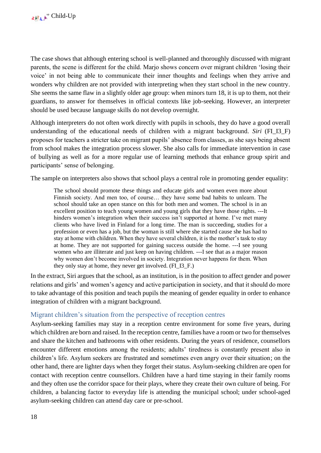The case shows that although entering school is well-planned and thoroughly discussed with migrant parents, the scene is different for the child. Marjo shows concern over migrant children 'losing their voice' in not being able to communicate their inner thoughts and feelings when they arrive and wonders why children are not provided with interpreting when they start school in the new country. She seems the same flaw in a slightly older age group: when minors turn 18, it is up to them, not their guardians, to answer for themselves in official contexts like job-seeking. However, an interpreter should be used because language skills do not develop overnight.

Although interpreters do not often work directly with pupils in schools, they do have a good overall understanding of the educational needs of children with a migrant background. *Siri* (FI\_I3\_F) proposes for teachers a stricter take on migrant pupils' absence from classes, as she says being absent from school makes the integration process slower. She also calls for immediate intervention in case of bullying as well as for a more regular use of learning methods that enhance group spirit and participants' sense of belonging.

The sample on interpreters also shows that school plays a central role in promoting gender equality:

The school should promote these things and educate girls and women even more about Finnish society. And men too, of course… they have some bad habits to unlearn. The school should take an open stance on this for both men and women. The school is in an excellent position to teach young women and young girls that they have those rights. ---It hinders women's integration when their success isn't supported at home. I've met many clients who have lived in Finland for a long time. The man is succeeding, studies for a profession or even has a job, but the woman is still where she started cause she has had to stay at home with children. When they have several children, it is the mother's task to stay at home. They are not supported for gaining success outside the home. ---I see young women who are illiterate and just keep on having children. ---I see that as a major reason why women don't become involved in society. Integration never happens for them. When they only stay at home, they never get involved. (FI\_I3\_F.)

In the extract, Siri argues that the school, as an institution, is in the position to affect gender and power relations and girls' and women's agency and active participation in society, and that it should do more to take advantage of this position and teach pupils the meaning of gender equality in order to enhance integration of children with a migrant background.

## <span id="page-18-0"></span>Migrant children's situation from the perspective of reception centres

Asylum-seeking families may stay in a reception centre environment for some five years, during which children are born and raised. In the reception centre, families have a room or two for themselves and share the kitchen and bathrooms with other residents. During the years of residence, counsellors encounter different emotions among the residents; adults' tiredness is constantly present also in children's life. Asylum seekers are frustrated and sometimes even angry over their situation; on the other hand, there are lighter days when they forget their status. Asylum-seeking children are open for contact with reception centre counsellors. Children have a hard time staying in their family rooms and they often use the corridor space for their plays, where they create their own culture of being. For children, a balancing factor to everyday life is attending the municipal school; under school-aged asylum-seeking children can attend day care or pre-school.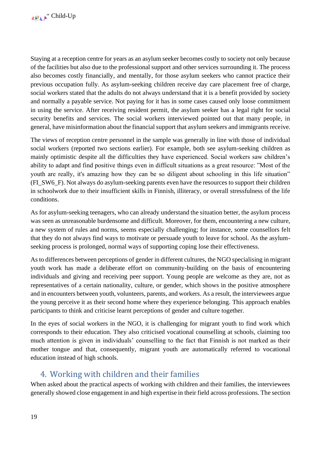Staying at a reception centre for years as an asylum seeker becomes costly to society not only because of the facilities but also due to the professional support and other services surrounding it. The process also becomes costly financially, and mentally, for those asylum seekers who cannot practice their previous occupation fully. As asylum-seeking children receive day care placement free of charge, social workers stated that the adults do not always understand that it is a benefit provided by society and normally a payable service. Not paying for it has in some cases caused only loose commitment in using the service. After receiving resident permit, the asylum seeker has a legal right for social security benefits and services. The social workers interviewed pointed out that many people, in general, have misinformation about the financial support that asylum seekers and immigrants receive.

The views of reception centre personnel in the sample was generally in line with those of individual social workers (reported two sections earlier). For example, both see asylum-seeking children as mainly optimistic despite all the difficulties they have experienced. Social workers saw children's ability to adapt and find positive things even in difficult situations as a great resource: "Most of the youth are really, it's amazing how they can be so diligent about schooling in this life situation" (FI\_SW6\_F). Not always do asylum-seeking parents even have the resources to support their children in schoolwork due to their insufficient skills in Finnish, illiteracy, or overall stressfulness of the life conditions.

As for asylum-seeking teenagers, who can already understand the situation better, the asylum process was seen as unreasonable burdensome and difficult. Moreover, for them, encountering a new culture, a new system of rules and norms, seems especially challenging; for instance, some counsellors felt that they do not always find ways to motivate or persuade youth to leave for school. As the asylumseeking process is prolonged, normal ways of supporting coping lose their effectiveness.

As to differences between perceptions of gender in different cultures, the NGO specialising in migrant youth work has made a deliberate effort on community-building on the basis of encountering individuals and giving and receiving peer support. Young people are welcome as they are, not as representatives of a certain nationality, culture, or gender, which shows in the positive atmosphere and in encounters between youth, volunteers, parents, and workers. As a result, the interviewees argue the young perceive it as their second home where they experience belonging. This approach enables participants to think and criticise learnt perceptions of gender and culture together.

In the eyes of social workers in the NGO, it is challenging for migrant youth to find work which corresponds to their education. They also criticised vocational counselling at schools, claiming too much attention is given in individuals' counselling to the fact that Finnish is not marked as their mother tongue and that, consequently, migrant youth are automatically referred to vocational education instead of high schools.

## <span id="page-19-0"></span>4. Working with children and their families

When asked about the practical aspects of working with children and their families, the interviewees generally showed close engagement in and high expertise in their field across professions. The section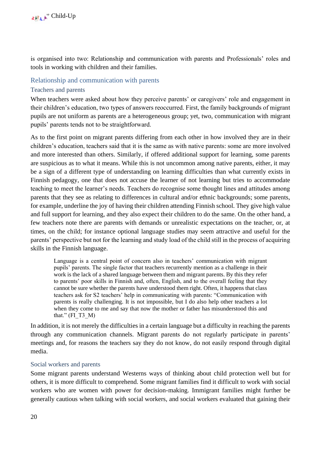is organised into two: Relationship and communication with parents and Professionals' roles and tools in working with children and their families.

#### <span id="page-20-0"></span>Relationship and communication with parents

#### <span id="page-20-1"></span>Teachers and parents

When teachers were asked about how they perceive parents' or caregivers' role and engagement in their children's education, two types of answers reoccurred. First, the family backgrounds of migrant pupils are not uniform as parents are a heterogeneous group; yet, two, communication with migrant pupils' parents tends not to be straightforward.

As to the first point on migrant parents differing from each other in how involved they are in their children's education, teachers said that it is the same as with native parents: some are more involved and more interested than others. Similarly, if offered additional support for learning, some parents are suspicious as to what it means. While this is not uncommon among native parents, either, it may be a sign of a different type of understanding on learning difficulties than what currently exists in Finnish pedagogy, one that does not accuse the learner of not learning but tries to accommodate teaching to meet the learner's needs. Teachers do recognise some thought lines and attitudes among parents that they see as relating to differences in cultural and/or ethnic backgrounds; some parents, for example, underline the joy of having their children attending Finnish school. They give high value and full support for learning, and they also expect their children to do the same. On the other hand, a few teachers note there are parents with demands or unrealistic expectations on the teacher, or, at times, on the child; for instance optional language studies may seem attractive and useful for the parents' perspective but not for the learning and study load of the child still in the process of acquiring skills in the Finnish language.

Language is a central point of concern also in teachers' communication with migrant pupils' parents. The single factor that teachers recurrently mention as a challenge in their work is the lack of a shared language between them and migrant parents. By this they refer to parents' poor skills in Finnish and, often, English, and to the overall feeling that they cannot be sure whether the parents have understood them right. Often, it happens that class teachers ask for S2 teachers' help in communicating with parents: "Communication with parents is really challenging. It is not impossible, but I do also help other teachers a lot when they come to me and say that now the mother or father has misunderstood this and that."  $(FI T3 M)$ 

In addition, it is not merely the difficulties in a certain language but a difficulty in reaching the parents through any communication channels. Migrant parents do not regularly participate in parents' meetings and, for reasons the teachers say they do not know, do not easily respond through digital media.

#### <span id="page-20-2"></span>Social workers and parents

Some migrant parents understand Westerns ways of thinking about child protection well but for others, it is more difficult to comprehend. Some migrant families find it difficult to work with social workers who are women with power for decision-making. Immigrant families might further be generally cautious when talking with social workers, and social workers evaluated that gaining their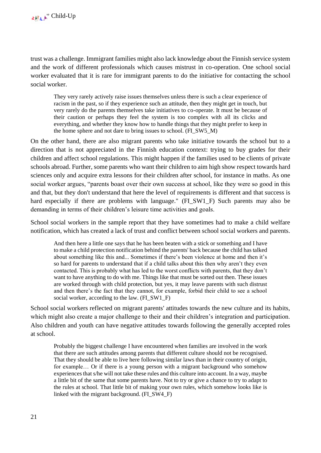trust was a challenge. Immigrant families might also lack knowledge about the Finnish service system and the work of different professionals which causes mistrust in co-operation. One school social worker evaluated that it is rare for immigrant parents to do the initiative for contacting the school social worker.

They very rarely actively raise issues themselves unless there is such a clear experience of racism in the past, so if they experience such an attitude, then they might get in touch, but very rarely do the parents themselves take initiatives to co-operate. It must be because of their caution or perhaps they feel the system is too complex with all its clicks and everything, and whether they know how to handle things that they might prefer to keep in the home sphere and not dare to bring issues to school. (FI\_SW5\_M)

On the other hand, there are also migrant parents who take initiative towards the school but to a direction that is not appreciated in the Finnish education context: trying to buy grades for their children and affect school regulations. This might happen if the families used to be clients of private schools abroad. Further, some parents who want their children to aim high show respect towards hard sciences only and acquire extra lessons for their children after school, for instance in maths. As one social worker argues, "parents boast over their own success at school, like they were so good in this and that, but they don't understand that here the level of requirements is different and that success is hard especially if there are problems with language." (FI\_SW1\_F) Such parents may also be demanding in terms of their children's leisure time activities and goals.

School social workers in the sample report that they have sometimes had to make a child welfare notification, which has created a lack of trust and conflict between school social workers and parents.

And then here a little one says that he has been beaten with a stick or something and I have to make a child protection notification behind the parents' back because the child has talked about something like this and... Sometimes if there's been violence at home and then it's so hard for parents to understand that if a child talks about this then why aren't they even contacted. This is probably what has led to the worst conflicts with parents, that they don't want to have anything to do with me. Things like that must be sorted out then. These issues are worked through with child protection, but yes, it may leave parents with such distrust and then there's the fact that they cannot, for example, forbid their child to see a school social worker, according to the law. (FI\_SW1\_F)

School social workers reflected on migrant parents' attitudes towards the new culture and its habits, which might also create a major challenge to their and their children's integration and participation. Also children and youth can have negative attitudes towards following the generally accepted roles at school.

Probably the biggest challenge I have encountered when families are involved in the work that there are such attitudes among parents that different culture should not be recognised. That they should be able to live here following similar laws than in their country of origin, for example… Or if there is a young person with a migrant background who somehow experiences that s/he will not take these rules and this culture into account. In a way, maybe a little bit of the same that some parents have. Not to try or give a chance to try to adapt to the rules at school. That little bit of making your own rules, which somehow looks like is linked with the migrant background. (FI\_SW4\_F)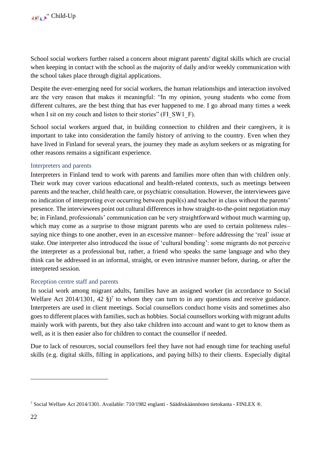School social workers further raised a concern about migrant parents' digital skills which are crucial when keeping in contact with the school as the majority of daily and/or weekly communication with the school takes place through digital applications.

Despite the ever-emerging need for social workers, the human relationships and interaction involved are the very reason that makes it meaningful: "In my opinion, young students who come from different cultures, are the best thing that has ever happened to me. I go abroad many times a week when I sit on my couch and listen to their stories" (FI\_SW1\_F).

School social workers argued that, in building connection to children and their caregivers, it is important to take into consideration the family history of arriving to the country. Even when they have lived in Finland for several years, the journey they made as asylum seekers or as migrating for other reasons remains a significant experience.

## <span id="page-22-0"></span>Interpreters and parents

Interpreters in Finland tend to work with parents and families more often than with children only. Their work may cover various educational and health-related contexts, such as meetings between parents and the teacher, child health care, or psychiatric consultation. However, the interviewees gave no indication of interpreting ever occurring between pupil(s) and teacher in class without the parents' presence. The interviewees point out cultural differences in how straight-to-the-point negotiation may be; in Finland, professionals' communication can be very straightforward without much warming up, which may come as a surprise to those migrant parents who are used to certain politeness rules– saying nice things to one another, even in an excessive manner– before addressing the 'real' issue at stake. One interpreter also introduced the issue of 'cultural bonding': some migrants do not perceive the interpreter as a professional but, rather, a friend who speaks the same language and who they think can be addressed in an informal, straight, or even intrusive manner before, during, or after the interpreted session.

### <span id="page-22-1"></span>Reception centre staff and parents

In social work among migrant adults, families have an assigned worker (in accordance to Social Welfare Act 2014/1301, 42  $\S$ <sup>7</sup> to whom they can turn to in any questions and receive guidance. Interpreters are used in client meetings. Social counsellors conduct home visits and sometimes also goes to different places with families, such as hobbies. Social counsellors working with migrant adults mainly work with parents, but they also take children into account and want to get to know them as well, as it is then easier also for children to contact the counsellor if needed.

Due to lack of resources, social counsellors feel they have not had enough time for teaching useful skills (e.g. digital skills, filling in applications, and paying bills) to their clients. Especially digital

<sup>7</sup> Social Welfare Act 2014/1301. Available: 710/1982 englanti - [Säädöskäännösten tietokanta -](https://www.finlex.fi/fi/laki/kaannokset/1982/en19820710) FINLEX ®.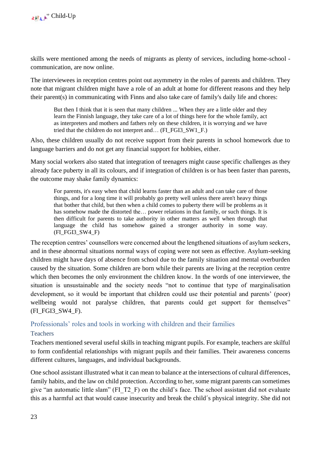skills were mentioned among the needs of migrants as plenty of services, including home-school communication, are now online.

The interviewees in reception centres point out asymmetry in the roles of parents and children. They note that migrant children might have a role of an adult at home for different reasons and they help their parent(s) in communicating with Finns and also take care of family's daily life and chores:

But then I think that it is seen that many children ... When they are a little older and they learn the Finnish language, they take care of a lot of things here for the whole family, act as interpreters and mothers and fathers rely on these children, it is worrying and we have tried that the children do not interpret and… (FI\_FGI3\_SW1\_F.)

Also, these children usually do not receive support from their parents in school homework due to language barriers and do not get any financial support for hobbies, either.

Many social workers also stated that integration of teenagers might cause specific challenges as they already face puberty in all its colours, and if integration of children is or has been faster than parents, the outcome may shake family dynamics:

For parents, it's easy when that child learns faster than an adult and can take care of those things, and for a long time it will probably go pretty well unless there aren't heavy things that bother that child, but then when a child comes to puberty there will be problems as it has somehow made the distorted the… power relations in that family, or such things. It is then difficult for parents to take authority in other matters as well when through that language the child has somehow gained a stronger authority in some way.  $(FI$  FGI3 SW4  $F)$ 

The reception centres' counsellors were concerned about the lengthened situations of asylum seekers, and in these abnormal situations normal ways of coping were not seen as effective. Asylum-seeking children might have days of absence from school due to the family situation and mental overburden caused by the situation. Some children are born while their parents are living at the reception centre which then becomes the only environment the children know. In the words of one interviewee, the situation is unsustainable and the society needs "not to continue that type of marginalisation development, so it would be important that children could use their potential and parents' (poor) wellbeing would not paralyse children, that parents could get support for themselves" (FI\_FGI3\_SW4\_F).

<span id="page-23-0"></span>Professionals' roles and tools in working with children and their families

## <span id="page-23-1"></span>**Teachers**

Teachers mentioned several useful skills in teaching migrant pupils. For example, teachers are skilful to form confidential relationships with migrant pupils and their families. Their awareness concerns different cultures, languages, and individual backgrounds.

One school assistant illustrated what it can mean to balance at the intersections of cultural differences, family habits, and the law on child protection. According to her, some migrant parents can sometimes give "an automatic little slam" (FI\_T2\_F) on the child's face. The school assistant did not evaluate this as a harmful act that would cause insecurity and break the child´s physical integrity. She did not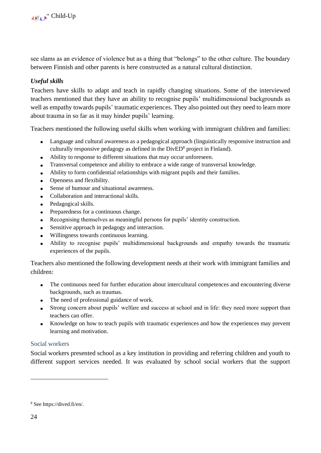see slams as an evidence of violence but as a thing that "belongs" to the other culture. The boundary between Finnish and other parents is here constructed as a natural cultural distinction.

## *Useful skills*

Teachers have skills to adapt and teach in rapidly changing situations. Some of the interviewed teachers mentioned that they have an ability to recognise pupils' multidimensional backgrounds as well as empathy towards pupils' traumatic experiences. They also pointed out they need to learn more about trauma in so far as it may hinder pupils' learning.

Teachers mentioned the following useful skills when working with immigrant children and families:

- Language and cultural awareness as a pedagogical approach (linguistically responsive instruction and culturally responsive pedagogy as defined in the DivED<sup>8</sup> project in Finland).
- Ability to response to different situations that may occur unforeseen.
- Transversal competence and ability to embrace a wide range of transversal knowledge.
- Ability to form confidential relationships with migrant pupils and their families.
- Openness and flexibility.
- Sense of humour and situational awareness.
- Collaboration and interactional skills.
- Pedagogical skills.
- Preparedness for a continuous change.
- Recognising themselves as meaningful persons for pupils' identity construction.
- Sensitive approach in pedagogy and interaction.
- Willingness towards continuous learning.
- Ability to recognise pupils' multidimensional backgrounds and empathy towards the traumatic experiences of the pupils.

Teachers also mentioned the following development needs at their work with immigrant families and children:

- The continuous need for further education about intercultural competences and encountering diverse backgrounds, such as traumas.
- The need of professional guidance of work.
- Strong concern about pupils' welfare and success at school and in life: they need more support than teachers can offer.
- Knowledge on how to teach pupils with traumatic experiences and how the experiences may prevent learning and motivation.

### <span id="page-24-0"></span>Social workers

Social workers presented school as a key institution in providing and referring children and youth to different support services needed. It was evaluated by school social workers that the support

<sup>8</sup> See [https://dived.fi/en/.](https://dived.fi/en/)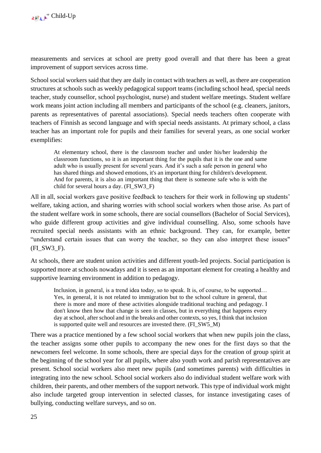measurements and services at school are pretty good overall and that there has been a great improvement of support services across time.

School social workers said that they are daily in contact with teachers as well, as there are cooperation structures at schools such as weekly pedagogical support teams (including school head, special needs teacher, study counsellor, school psychologist, nurse) and student welfare meetings. Student welfare work means joint action including all members and participants of the school (e.g. cleaners, janitors, parents as representatives of parental associations). Special needs teachers often cooperate with teachers of Finnish as second language and with special needs assistants. At primary school, a class teacher has an important role for pupils and their families for several years, as one social worker exemplifies:

At elementary school, there is the classroom teacher and under his/her leadership the classroom functions, so it is an important thing for the pupils that it is the one and same adult who is usually present for several years. And it's such a safe person in general who has shared things and showed emotions, it's an important thing for children's development. And for parents, it is also an important thing that there is someone safe who is with the child for several hours a day. (FI\_SW3\_F)

All in all, social workers gave positive feedback to teachers for their work in following up students' welfare, taking action, and sharing worries with school social workers when those arise. As part of the student welfare work in some schools, there are social counsellors (Bachelor of Social Services), who guide different group activities and give individual counselling. Also, some schools have recruited special needs assistants with an ethnic background. They can, for example, better "understand certain issues that can worry the teacher, so they can also interpret these issues" (FI\_SW3\_F).

At schools, there are student union activities and different youth-led projects. Social participation is supported more at schools nowadays and it is seen as an important element for creating a healthy and supportive learning environment in addition to pedagogy.

Inclusion, in general, is a trend idea today, so to speak. It is, of course, to be supported... Yes, in general, it is not related to immigration but to the school culture in general, that there is more and more of these activities alongside traditional teaching and pedagogy. I don't know then how that change is seen in classes, but in everything that happens every day at school, after school and in the breaks and other contexts, so yes, I think that inclusion is supported quite well and resources are invested there. (FI\_SW5\_M)

There was a practice mentioned by a few school social workers that when new pupils join the class, the teacher assigns some other pupils to accompany the new ones for the first days so that the newcomers feel welcome. In some schools, there are special days for the creation of group spirit at the beginning of the school year for all pupils, where also youth work and parish representatives are present. School social workers also meet new pupils (and sometimes parents) with difficulties in integrating into the new school. School social workers also do individual student welfare work with children, their parents, and other members of the support network. This type of individual work might also include targeted group intervention in selected classes, for instance investigating cases of bullying, conducting welfare surveys, and so on.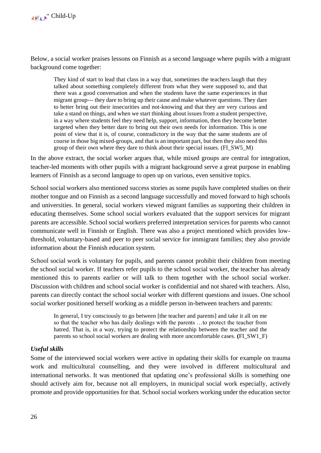Below, a social worker praises lessons on Finnish as a second language where pupils with a migrant background come together:

They kind of start to lead that class in a way that, sometimes the teachers laugh that they talked about something completely different from what they were supposed to, and that there was a good conversation and when the students have the same experiences in that migrant group--- they dare to bring up their cause and make whatever questions. They dare to better bring out their insecurities and not-knowing and that they are very curious and take a stand on things, and when we start thinking about issues from a student perspective, in a way where students feel they need help, support, information, then they become better targeted when they better dare to bring out their own needs for information. This is one point of view that it is, of course, contradictory in the way that the same students are of course in those big mixed-groups, and that is an important part, but then they also need this group of their own where they dare to think about their special issues. (FI\_SW5\_M)

In the above extract, the social worker argues that, while mixed groups are central for integration, teacher-led moments with other pupils with a migrant background serve a great purpose in enabling learners of Finnish as a second language to open up on various, even sensitive topics.

School social workers also mentioned success stories as some pupils have completed studies on their mother tongue and on Finnish as a second language successfully and moved forward to high schools and universities. In general, social workers viewed migrant families as supporting their children in educating themselves. Some school social workers evaluated that the support services for migrant parents are accessible. School social workers preferred interpretation services for parents who cannot communicate well in Finnish or English. There was also a project mentioned which provides lowthreshold, voluntary-based and peer to peer social service for immigrant families; they also provide information about the Finnish education system.

School social work is voluntary for pupils, and parents cannot prohibit their children from meeting the school social worker. If teachers refer pupils to the school social worker, the teacher has already mentioned this to parents earlier or will talk to them together with the school social worker. Discussion with children and school social worker is confidential and not shared with teachers. Also, parents can directly contact the school social worker with different questions and issues. One school social worker positioned herself working as a middle person in-between teachers and parents:

In general, I try consciously to go between [the teacher and parents] and take it all on me so that the teacher who has daily dealings with the parents …to protect the teacher from hatred. That is, in a way, trying to protect the relationship between the teacher and the parents so school social workers are dealing with more uncomfortable cases. **(**FI\_SW1\_F)

## *Useful skills*

Some of the interviewed social workers were active in updating their skills for example on trauma work and multicultural counselling, and they were involved in different multicultural and international networks. It was mentioned that updating one's professional skills is something one should actively aim for, because not all employers, in municipal social work especially, actively promote and provide opportunities for that. School social workers working under the education sector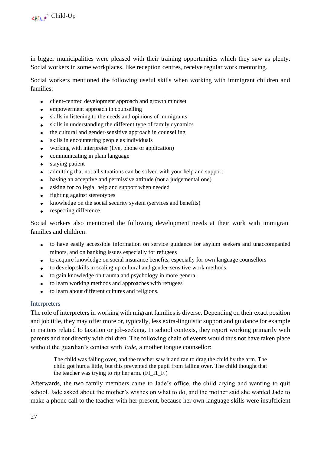in bigger municipalities were pleased with their training opportunities which they saw as plenty. Social workers in some workplaces, like reception centres, receive regular work mentoring.

Social workers mentioned the following useful skills when working with immigrant children and families:

- client-centred development approach and growth mindset
- empowerment approach in counselling
- skills in listening to the needs and opinions of immigrants
- skills in understanding the different type of family dynamics
- the cultural and gender-sensitive approach in counselling
- skills in encountering people as individuals
- working with interpreter (live, phone or application)
- communicating in plain language
- staying patient
- admitting that not all situations can be solved with your help and support
- having an acceptive and permissive attitude (not a judgemental one)
- asking for collegial help and support when needed
- fighting against stereotypes
- knowledge on the social security system (services and benefits)
- respecting difference.

Social workers also mentioned the following development needs at their work with immigrant families and children:

- to have easily accessible information on service guidance for asylum seekers and unaccompanied minors, and on banking issues especially for refugees
- to acquire knowledge on social insurance benefits, especially for own language counsellors
- to develop skills in scaling up cultural and gender-sensitive work methods
- to gain knowledge on trauma and psychology in more general
- to learn working methods and approaches with refugees
- to learn about different cultures and religions.

#### <span id="page-27-0"></span>Interpreters

The role of interpreters in working with migrant families is diverse. Depending on their exact position and job title, they may offer more or, typically, less extra-linguistic support and guidance for example in matters related to taxation or job-seeking. In school contexts, they report working primarily with parents and not directly with children. The following chain of events would thus not have taken place without the guardian's contact with *Jade*, a mother tongue counsellor:

The child was falling over, and the teacher saw it and ran to drag the child by the arm. The child got hurt a little, but this prevented the pupil from falling over. The child thought that the teacher was trying to rip her arm. (FI\_I1\_F.)

Afterwards, the two family members came to Jade's office, the child crying and wanting to quit school. Jade asked about the mother's wishes on what to do, and the mother said she wanted Jade to make a phone call to the teacher with her present, because her own language skills were insufficient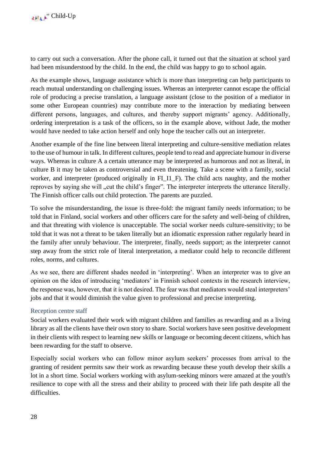to carry out such a conversation. After the phone call, it turned out that the situation at school yard had been misunderstood by the child. In the end, the child was happy to go to school again.

As the example shows, language assistance which is more than interpreting can help participants to reach mutual understanding on challenging issues. Whereas an interpreter cannot escape the official role of producing a precise translation, a language assistant (close to the position of a mediator in some other European countries) may contribute more to the interaction by mediating between different persons, languages, and cultures, and thereby support migrants' agency. Additionally, ordering interpretation is a task of the officers, so in the example above, without Jade, the mother would have needed to take action herself and only hope the teacher calls out an interpreter.

Another example of the fine line between literal interpreting and culture-sensitive mediation relates to the use of humour in talk. In different cultures, people tend to read and appreciate humour in diverse ways. Whereas in culture A a certain utterance may be interpreted as humorous and not as literal, in culture B it may be taken as controversial and even threatening. Take a scene with a family, social worker, and interpreter (produced originally in FI\_I1\_F). The child acts naughty, and the mother reproves by saying she will "cut the child's finger". The interpreter interprets the utterance literally. The Finnish officer calls out child protection. The parents are puzzled.

To solve the misunderstanding, the issue is three-fold: the migrant family needs information; to be told that in Finland, social workers and other officers care for the safety and well-being of children, and that threating with violence is unacceptable. The social worker needs culture-sensitivity; to be told that it was not a threat to be taken literally but an idiomatic expression rather regularly heard in the family after unruly behaviour. The interpreter, finally, needs support; as the interpreter cannot step away from the strict role of literal interpretation, a mediator could help to reconcile different roles, norms, and cultures.

As we see, there are different shades needed in 'interpreting'. When an interpreter was to give an opinion on the idea of introducing 'mediators' in Finnish school contexts in the research interview, the response was, however, that it is not desired. The fear was that mediators would steal interpreters' jobs and that it would diminish the value given to professional and precise interpreting.

### <span id="page-28-0"></span>Reception centre staff

Social workers evaluated their work with migrant children and families as rewarding and as a living library as all the clients have their own story to share. Social workers have seen positive development in their clients with respect to learning new skills or language or becoming decent citizens, which has been rewarding for the staff to observe.

Especially social workers who can follow minor asylum seekers' processes from arrival to the granting of resident permits saw their work as rewarding because these youth develop their skills a lot in a short time. Social workers working with asylum-seeking minors were amazed at the youth's resilience to cope with all the stress and their ability to proceed with their life path despite all the difficulties.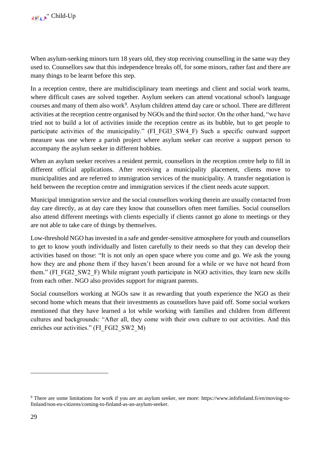When asylum-seeking minors turn 18 years old, they stop receiving counselling in the same way they used to. Counsellors saw that this independence breaks off, for some minors, rather fast and there are many things to be learnt before this step.

In a reception centre, there are multidisciplinary team meetings and client and social work teams, where difficult cases are solved together. Asylum seekers can attend vocational school's language courses and many of them also work<sup>9</sup>. Asylum children attend day care or school. There are different activities at the reception centre organised by NGOs and the third sector. On the other hand, "we have tried not to build a lot of activities inside the reception centre as its bubble, but to get people to participate activities of the municipality." (FI\_FGI3\_SW4\_F) Such a specific outward support measure was one where a parish project where asylum seeker can receive a support person to accompany the asylum seeker in different hobbies.

When an asylum seeker receives a resident permit, counsellors in the reception centre help to fill in different official applications. After receiving a municipality placement, clients move to municipalities and are referred to immigration services of the municipality. A transfer negotiation is held between the reception centre and immigration services if the client needs acute support.

Municipal immigration service and the social counsellors working therein are usually contacted from day care directly, as at day care they know that counsellors often meet families. Social counsellors also attend different meetings with clients especially if clients cannot go alone to meetings or they are not able to take care of things by themselves.

Low-threshold NGO has invested in a safe and gender-sensitive atmosphere for youth and counsellors to get to know youth individually and listen carefully to their needs so that they can develop their activities based on those: "It is not only an open space where you come and go. We ask the young how they are and phone them if they haven't been around for a while or we have not heard from them." (FI\_FGI2\_SW2\_F) While migrant youth participate in NGO activities, they learn new skills from each other. NGO also provides support for migrant parents.

Social counsellors working at NGOs saw it as rewarding that youth experience the NGO as their second home which means that their investments as counsellors have paid off. Some social workers mentioned that they have learned a lot while working with families and children from different cultures and backgrounds: "After all, they come with their own culture to our activities. And this enriches our activities." (FI\_FGI2\_SW2\_M)

<sup>9</sup> There are some limitations for work if you are an asylum seeker, see more: [https://www.infofinland.fi/en/moving-to](https://www.infofinland.fi/en/moving-to-finland/non-eu-citizens/coming-to-finland-as-an-asylum-seeker)[finland/non-eu-citizens/coming-to-finland-as-an-asylum-seeker.](https://www.infofinland.fi/en/moving-to-finland/non-eu-citizens/coming-to-finland-as-an-asylum-seeker)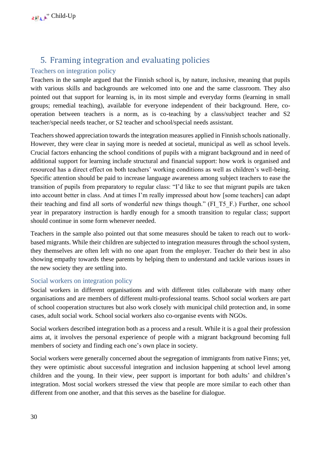## 5. Framing integration and evaluating policies

## <span id="page-30-1"></span><span id="page-30-0"></span>Teachers on integration policy

Teachers in the sample argued that the Finnish school is, by nature, inclusive, meaning that pupils with various skills and backgrounds are welcomed into one and the same classroom. They also pointed out that support for learning is, in its most simple and everyday forms (learning in small groups; remedial teaching), available for everyone independent of their background. Here, cooperation between teachers is a norm, as is co-teaching by a class/subject teacher and S2 teacher/special needs teacher, or S2 teacher and school/special needs assistant.

Teachers showed appreciation towards the integration measures applied in Finnish schools nationally. However, they were clear in saying more is needed at societal, municipal as well as school levels. Crucial factors enhancing the school conditions of pupils with a migrant background and in need of additional support for learning include structural and financial support: how work is organised and resourced has a direct effect on both teachers' working conditions as well as children's well-being. Specific attention should be paid to increase language awareness among subject teachers to ease the transition of pupils from preparatory to regular class: "I'd like to see that migrant pupils are taken into account better in class. And at times I'm really impressed about how [some teachers] can adapt their teaching and find all sorts of wonderful new things though." (FI\_T5\_F.) Further, one school year in preparatory instruction is hardly enough for a smooth transition to regular class; support should continue in some form whenever needed.

Teachers in the sample also pointed out that some measures should be taken to reach out to workbased migrants. While their children are subjected to integration measures through the school system, they themselves are often left with no one apart from the employer. Teacher do their best in also showing empathy towards these parents by helping them to understand and tackle various issues in the new society they are settling into.

## <span id="page-30-2"></span>Social workers on integration policy

Social workers in different organisations and with different titles collaborate with many other organisations and are members of different multi-professional teams. School social workers are part of school cooperation structures but also work closely with municipal child protection and, in some cases, adult social work. School social workers also co-organise events with NGOs.

Social workers described integration both as a process and a result. While it is a goal their profession aims at, it involves the personal experience of people with a migrant background becoming full members of society and finding each one's own place in society.

Social workers were generally concerned about the segregation of immigrants from native Finns; yet, they were optimistic about successful integration and inclusion happening at school level among children and the young. In their view, peer support is important for both adults' and children's integration. Most social workers stressed the view that people are more similar to each other than different from one another, and that this serves as the baseline for dialogue.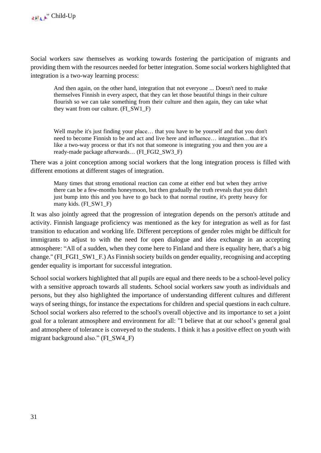Social workers saw themselves as working towards fostering the participation of migrants and providing them with the resources needed for better integration. Some social workers highlighted that integration is a two-way learning process:

And then again, on the other hand, integration that not everyone ... Doesn't need to make themselves Finnish in every aspect, that they can let those beautiful things in their culture flourish so we can take something from their culture and then again, they can take what they want from our culture. (FI\_SW1\_F)

Well maybe it's just finding your place… that you have to be yourself and that you don't need to become Finnish to be and act and live here and influence… integration…that it's like a two-way process or that it's not that someone is integrating you and then you are a ready-made package afterwards… (FI\_FGI2\_SW3\_F)

There was a joint conception among social workers that the long integration process is filled with different emotions at different stages of integration.

Many times that strong emotional reaction can come at either end but when they arrive there can be a few-months honeymoon, but then gradually the truth reveals that you didn't just bump into this and you have to go back to that normal routine, it's pretty heavy for many kids. (FI\_SW1\_F)

It was also jointly agreed that the progression of integration depends on the person's attitude and activity. Finnish language proficiency was mentioned as the key for integration as well as for fast transition to education and working life. Different perceptions of gender roles might be difficult for immigrants to adjust to with the need for open dialogue and idea exchange in an accepting atmosphere: "All of a sudden, when they come here to Finland and there is equality here, that's a big change." (FI\_FGI1\_SW1\_F.) As Finnish society builds on gender equality, recognising and accepting gender equality is important for successful integration.

School social workers highlighted that all pupils are equal and there needs to be a school-level policy with a sensitive approach towards all students. School social workers saw youth as individuals and persons, but they also highlighted the importance of understanding different cultures and different ways of seeing things, for instance the expectations for children and special questions in each culture. School social workers also referred to the school's overall objective and its importance to set a joint goal for a tolerant atmosphere and environment for all: "I believe that at our school's general goal and atmosphere of tolerance is conveyed to the students. I think it has a positive effect on youth with migrant background also." (FI\_SW4\_F)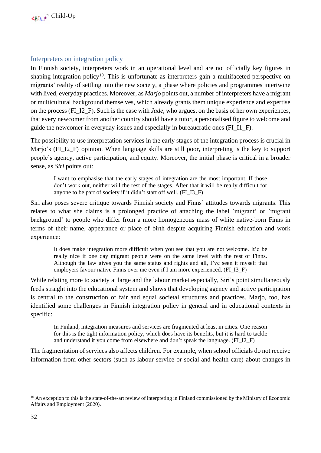### <span id="page-32-0"></span>Interpreters on integration policy

In Finnish society, interpreters work in an operational level and are not officially key figures in shaping integration policy<sup>10</sup>. This is unfortunate as interpreters gain a multifaceted perspective on migrants' reality of settling into the new society, a phase where policies and programmes intertwine with lived, everyday practices. Moreover, as *Marjo* points out, a number of interpreters have a migrant or multicultural background themselves, which already grants them unique experience and expertise on the process (FI\_I2\_F). Such is the case with *Jade*, who argues, on the basis of her own experiences, that every newcomer from another country should have a tutor, a personalised figure to welcome and guide the newcomer in everyday issues and especially in bureaucratic ones (FI\_I1\_F).

The possibility to use interpretation services in the early stages of the integration process is crucial in Marjo's (FI\_I2\_F) opinion. When language skills are still poor, interpreting is the key to support people's agency, active participation, and equity. Moreover, the initial phase is critical in a broader sense, as *Siri* points out:

I want to emphasise that the early stages of integration are the most important. If those don't work out, neither will the rest of the stages. After that it will be really difficult for anyone to be part of society if it didn't start off well. (FI\_I3\_F)

Siri also poses severe critique towards Finnish society and Finns' attitudes towards migrants. This relates to what she claims is a prolonged practice of attaching the label 'migrant' or 'migrant background' to people who differ from a more homogeneous mass of white native-born Finns in terms of their name, appearance or place of birth despite acquiring Finnish education and work experience:

It does make integration more difficult when you see that you are not welcome. It'd be really nice if one day migrant people were on the same level with the rest of Finns. Although the law gives you the same status and rights and all, I've seen it myself that employers favour native Finns over me even if I am more experienced. (FI\_I3\_F)

While relating more to society at large and the labour market especially, Siri's point simultaneously feeds straight into the educational system and shows that developing agency and active participation is central to the construction of fair and equal societal structures and practices. Marjo, too, has identified some challenges in Finnish integration policy in general and in educational contexts in specific:

In Finland, integration measures and services are fragmented at least in cities. One reason for this is the tight information policy, which does have its benefits, but it is hard to tackle and understand if you come from elsewhere and don't speak the language. (FI\_I2\_F)

The fragmentation of services also affects children. For example, when school officials do not receive information from other sectors (such as labour service or social and health care) about changes in

 $10$  An exception to this is the state-of-the-art review of interpreting in Finland commissioned by the Ministry of Economic Affairs and Employment (2020).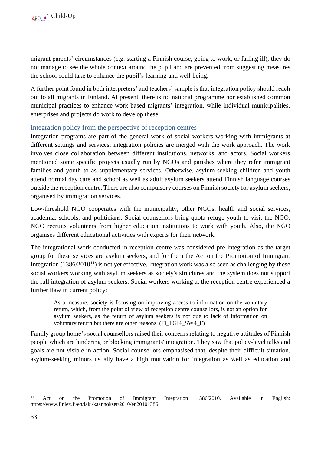migrant parents' circumstances (e.g. starting a Finnish course, going to work, or falling ill), they do not manage to see the whole context around the pupil and are prevented from suggesting measures the school could take to enhance the pupil's learning and well-being.

A further point found in both interpreters' and teachers' sample is that integration policy should reach out to all migrants in Finland. At present, there is no national programme nor established common municipal practices to enhance work-based migrants' integration, while individual municipalities, enterprises and projects do work to develop these.

## <span id="page-33-0"></span>Integration policy from the perspective of reception centres

Integration programs are part of the general work of social workers working with immigrants at different settings and services; integration policies are merged with the work approach. The work involves close collaboration between different institutions, networks, and actors. Social workers mentioned some specific projects usually run by NGOs and parishes where they refer immigrant families and youth to as supplementary services. Otherwise, asylum-seeking children and youth attend normal day care and school as well as adult asylum seekers attend Finnish language courses outside the reception centre. There are also compulsory courses on Finnish society for asylum seekers, organised by immigration services.

Low-threshold NGO cooperates with the municipality, other NGOs, health and social services, academia, schools, and politicians. Social counsellors bring quota refuge youth to visit the NGO. NGO recruits volunteers from higher education institutions to work with youth. Also, the NGO organises different educational activities with experts for their network.

The integrational work conducted in reception centre was considered pre-integration as the target group for these services are asylum seekers, and for them the Act on the Promotion of Immigrant Integration  $(1386/2010^{11})$  is not yet effective. Integration work was also seen as challenging by these social workers working with asylum seekers as society's structures and the system does not support the full integration of asylum seekers. Social workers working at the reception centre experienced a further flaw in current policy:

As a measure, society is focusing on improving access to information on the voluntary return, which, from the point of view of reception centre counsellors, is not an option for asylum seekers, as the return of asylum seekers is not due to lack of information on voluntary return but there are other reasons. (FI\_FGI4\_SW4\_F)

Family group home's social counsellors raised their concerns relating to negative attitudes of Finnish people which are hindering or blocking immigrants' integration. They saw that policy-level talks and goals are not visible in action. Social counsellors emphasised that, despite their difficult situation, asylum-seeking minors usually have a high motivation for integration as well as education and

<sup>&</sup>lt;sup>11</sup> Act on the Promotion of Immigrant Integration 1386/2010. Available in English: [https://www.finlex.fi/en/laki/kaannokset/2010/en20101386.](https://www.finlex.fi/en/laki/kaannokset/2010/en20101386)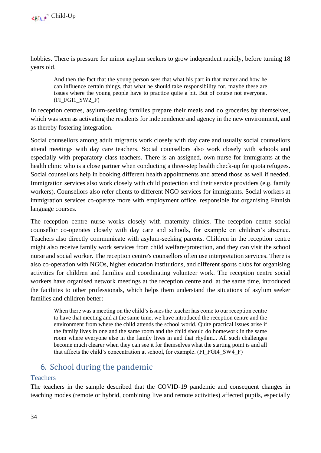hobbies. There is pressure for minor asylum seekers to grow independent rapidly, before turning 18 years old.

And then the fact that the young person sees that what his part in that matter and how he can influence certain things, that what he should take responsibility for, maybe these are issues where the young people have to practice quite a bit. But of course not everyone. (FI\_FGI1\_SW2\_F)

In reception centres, asylum-seeking families prepare their meals and do groceries by themselves, which was seen as activating the residents for independence and agency in the new environment, and as thereby fostering integration.

Social counsellors among adult migrants work closely with day care and usually social counsellors attend meetings with day care teachers. Social counsellors also work closely with schools and especially with preparatory class teachers. There is an assigned, own nurse for immigrants at the health clinic who is a close partner when conducting a three-step health check-up for quota refugees. Social counsellors help in booking different health appointments and attend those as well if needed. Immigration services also work closely with child protection and their service providers (e.g. family workers). Counsellors also refer clients to different NGO services for immigrants. Social workers at immigration services co-operate more with employment office, responsible for organising Finnish language courses.

The reception centre nurse works closely with maternity clinics. The reception centre social counsellor co-operates closely with day care and schools, for example on children's absence. Teachers also directly communicate with asylum-seeking parents. Children in the reception centre might also receive family work services from child welfare/protection, and they can visit the school nurse and social worker. The reception centre's counsellors often use interpretation services. There is also co-operation with NGOs, higher education institutions, and different sports clubs for organising activities for children and families and coordinating volunteer work. The reception centre social workers have organised network meetings at the reception centre and, at the same time, introduced the facilities to other professionals, which helps them understand the situations of asylum seeker families and children better:

When there was a meeting on the child's issues the teacher has come to our reception centre to have that meeting and at the same time, we have introduced the reception centre and the environment from where the child attends the school world. Quite practical issues arise if the family lives in one and the same room and the child should do homework in the same room where everyone else in the family lives in and that rhythm... All such challenges become much clearer when they can see it for themselves what the starting point is and all that affects the child's concentration at school, for example. (FI\_FGI4\_SW4\_F)

## <span id="page-34-0"></span>6. School during the pandemic

## <span id="page-34-1"></span>**Teachers**

The teachers in the sample described that the COVID-19 pandemic and consequent changes in teaching modes (remote or hybrid, combining live and remote activities) affected pupils, especially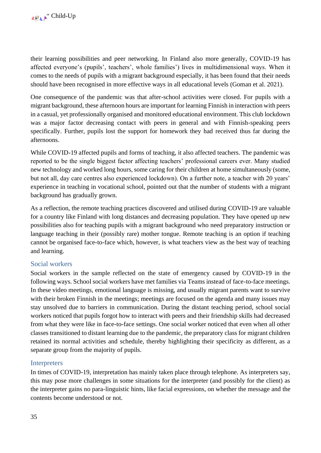their learning possibilities and peer networking. In Finland also more generally, COVID-19 has affected everyone's (pupils', teachers', whole families') lives in multidimensional ways. When it comes to the needs of pupils with a migrant background especially, it has been found that their needs should have been recognised in more effective ways in all educational levels (Goman et al. 2021).

One consequence of the pandemic was that after-school activities were closed. For pupils with a migrant background, these afternoon hours are important for learning Finnish in interaction with peers in a casual, yet professionally organised and monitored educational environment. This club lockdown was a major factor decreasing contact with peers in general and with Finnish-speaking peers specifically. Further, pupils lost the support for homework they had received thus far during the afternoons.

While COVID-19 affected pupils and forms of teaching, it also affected teachers. The pandemic was reported to be the single biggest factor affecting teachers' professional careers ever. Many studied new technology and worked long hours, some caring for their children at home simultaneously (some, but not all, day care centres also experienced lockdown). On a further note, a teacher with 20 years' experience in teaching in vocational school, pointed out that the number of students with a migrant background has gradually grown.

As a reflection, the remote teaching practices discovered and utilised during COVID-19 are valuable for a country like Finland with long distances and decreasing population. They have opened up new possibilities also for teaching pupils with a migrant background who need preparatory instruction or language teaching in their (possibly rare) mother tongue. Remote teaching is an option if teaching cannot be organised face-to-face which, however, is what teachers view as the best way of teaching and learning.

## <span id="page-35-0"></span>Social workers

Social workers in the sample reflected on the state of emergency caused by COVID-19 in the following ways. School social workers have met families via Teams instead of face-to-face meetings. In these video meetings, emotional language is missing, and usually migrant parents want to survive with their broken Finnish in the meetings; meetings are focused on the agenda and many issues may stay unsolved due to barriers in communication. During the distant teaching period, school social workers noticed that pupils forgot how to interact with peers and their friendship skills had decreased from what they were like in face-to-face settings. One social worker noticed that even when all other classes transitioned to distant learning due to the pandemic, the preparatory class for migrant children retained its normal activities and schedule, thereby highlighting their specificity as different, as a separate group from the majority of pupils.

## <span id="page-35-1"></span>**Interpreters**

In times of COVID-19, interpretation has mainly taken place through telephone. As interpreters say, this may pose more challenges in some situations for the interpreter (and possibly for the client) as the interpreter gains no para-linguistic hints, like facial expressions, on whether the message and the contents become understood or not.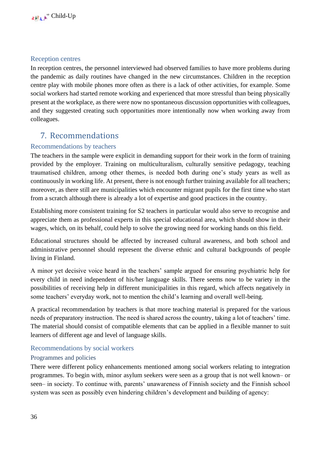## <span id="page-36-0"></span>Reception centres

In reception centres, the personnel interviewed had observed families to have more problems during the pandemic as daily routines have changed in the new circumstances. Children in the reception centre play with mobile phones more often as there is a lack of other activities, for example. Some social workers had started remote working and experienced that more stressful than being physically present at the workplace, as there were now no spontaneous discussion opportunities with colleagues, and they suggested creating such opportunities more intentionally now when working away from colleagues.

## <span id="page-36-1"></span>7. Recommendations

## <span id="page-36-2"></span>Recommendations by teachers

The teachers in the sample were explicit in demanding support for their work in the form of training provided by the employer. Training on multiculturalism, culturally sensitive pedagogy, teaching traumatised children, among other themes, is needed both during one's study years as well as continuously in working life. At present, there is not enough further training available for all teachers; moreover, as there still are municipalities which encounter migrant pupils for the first time who start from a scratch although there is already a lot of expertise and good practices in the country.

Establishing more consistent training for S2 teachers in particular would also serve to recognise and appreciate them as professional experts in this special educational area, which should show in their wages, which, on its behalf, could help to solve the growing need for working hands on this field.

Educational structures should be affected by increased cultural awareness, and both school and administrative personnel should represent the diverse ethnic and cultural backgrounds of people living in Finland.

A minor yet decisive voice heard in the teachers' sample argued for ensuring psychiatric help for every child in need independent of his/her language skills. There seems now to be variety in the possibilities of receiving help in different municipalities in this regard, which affects negatively in some teachers' everyday work, not to mention the child's learning and overall well-being.

A practical recommendation by teachers is that more teaching material is prepared for the various needs of preparatory instruction. The need is shared across the country, taking a lot of teachers' time. The material should consist of compatible elements that can be applied in a flexible manner to suit learners of different age and level of language skills.

### <span id="page-36-3"></span>Recommendations by social workers

### <span id="page-36-4"></span>Programmes and policies

There were different policy enhancements mentioned among social workers relating to integration programmes. To begin with, minor asylum seekers were seen as a group that is not well known– or seen– in society. To continue with, parents' unawareness of Finnish society and the Finnish school system was seen as possibly even hindering children's development and building of agency: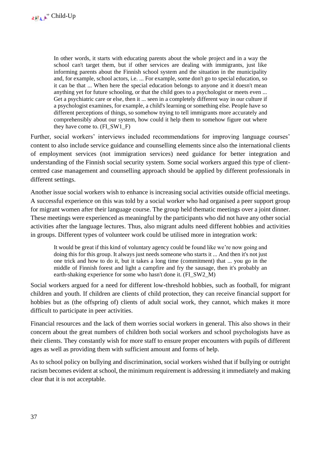In other words, it starts with educating parents about the whole project and in a way the school can't target them, but if other services are dealing with immigrants, just like informing parents about the Finnish school system and the situation in the municipality and, for example, school actors, i.e. ... For example, some don't go to special education, so it can be that ... When here the special education belongs to anyone and it doesn't mean anything yet for future schooling, or that the child goes to a psychologist or meets even ... Get a psychiatric care or else, then it ... seen in a completely different way in our culture if a psychologist examines, for example, a child's learning or something else. People have so different perceptions of things, so somehow trying to tell immigrants more accurately and comprehensibly about our system, how could it help them to somehow figure out where they have come to. (FI\_SW1\_F)

Further, social workers' interviews included recommendations for improving language courses' content to also include service guidance and counselling elements since also the international clients of employment services (not immigration services) need guidance for better integration and understanding of the Finnish social security system. Some social workers argued this type of clientcentred case management and counselling approach should be applied by different professionals in different settings.

Another issue social workers wish to enhance is increasing social activities outside official meetings. A successful experience on this was told by a social worker who had organised a peer support group for migrant women after their language course. The group held thematic meetings over a joint dinner. These meetings were experienced as meaningful by the participants who did not have any other social activities after the language lectures. Thus, also migrant adults need different hobbies and activities in groups. Different types of volunteer work could be utilised more in integration work:

It would be great if this kind of voluntary agency could be found like we're now going and doing this for this group. It always just needs someone who starts it ... And then it's not just one trick and how to do it, but it takes a long time (commitment) that ... you go in the middle of Finnish forest and light a campfire and fry the sausage, then it's probably an earth-shaking experience for some who hasn't done it. (FI\_SW2\_M)

Social workers argued for a need for different low-threshold hobbies, such as football, for migrant children and youth. If children are clients of child protection, they can receive financial support for hobbies but as (the offspring of) clients of adult social work, they cannot, which makes it more difficult to participate in peer activities.

Financial resources and the lack of them worries social workers in general. This also shows in their concern about the great numbers of children both social workers and school psychologists have as their clients. They constantly wish for more staff to ensure proper encounters with pupils of different ages as well as providing them with sufficient amount and forms of help.

As to school policy on bullying and discrimination, social workers wished that if bullying or outright racism becomes evident at school, the minimum requirement is addressing it immediately and making clear that it is not acceptable.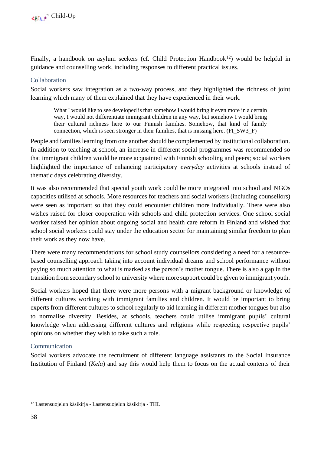Finally, a handbook on asylum seekers (cf. Child Protection Handbook<sup>12</sup>) would be helpful in guidance and counselling work, including responses to different practical issues.

### <span id="page-38-0"></span>Collaboration

Social workers saw integration as a two-way process, and they highlighted the richness of joint learning which many of them explained that they have experienced in their work.

What I would like to see developed is that somehow I would bring it even more in a certain way, I would not differentiate immigrant children in any way, but somehow I would bring their cultural richness here to our Finnish families. Somehow, that kind of family connection, which is seen stronger in their families, that is missing here. (FI\_SW3\_F)

People and families learning from one another should be complemented by institutional collaboration. In addition to teaching at school, an increase in different social programmes was recommended so that immigrant children would be more acquainted with Finnish schooling and peers; social workers highlighted the importance of enhancing participatory *everyday* activities at schools instead of thematic days celebrating diversity.

It was also recommended that special youth work could be more integrated into school and NGOs capacities utilised at schools. More resources for teachers and social workers (including counsellors) were seen as important so that they could encounter children more individually. There were also wishes raised for closer cooperation with schools and child protection services. One school social worker raised her opinion about ongoing social and health care reform in Finland and wished that school social workers could stay under the education sector for maintaining similar freedom to plan their work as they now have.

There were many recommendations for school study counsellors considering a need for a resourcebased counselling approach taking into account individual dreams and school performance without paying so much attention to what is marked as the person's mother tongue. There is also a gap in the transition from secondary school to university where more support could be given to immigrant youth.

Social workers hoped that there were more persons with a migrant background or knowledge of different cultures working with immigrant families and children. It would be important to bring experts from different cultures to school regularly to aid learning in different mother tongues but also to normalise diversity. Besides, at schools, teachers could utilise immigrant pupils' cultural knowledge when addressing different cultures and religions while respecting respective pupils' opinions on whether they wish to take such a role.

## <span id="page-38-1"></span>Communication

Social workers advocate the recruitment of different language assistants to the Social Insurance Institution of Finland (*Kela*) and say this would help them to focus on the actual contents of their

<sup>12</sup> Lastensuojelun käsikirja - [Lastensuojelun käsikirja -](https://thl.fi/fi/web/lastensuojelun-kasikirja) THL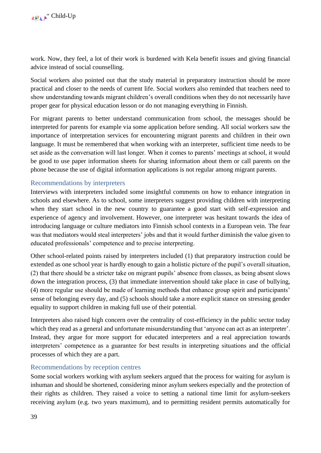work. Now, they feel, a lot of their work is burdened with Kela benefit issues and giving financial advice instead of social counselling.

Social workers also pointed out that the study material in preparatory instruction should be more practical and closer to the needs of current life. Social workers also reminded that teachers need to show understanding towards migrant children's overall conditions when they do not necessarily have proper gear for physical education lesson or do not managing everything in Finnish.

For migrant parents to better understand communication from school, the messages should be interpreted for parents for example via some application before sending. All social workers saw the importance of interpretation services for encountering migrant parents and children in their own language. It must be remembered that when working with an interpreter, sufficient time needs to be set aside as the conversation will last longer. When it comes to parents' meetings at school, it would be good to use paper information sheets for sharing information about them or call parents on the phone because the use of digital information applications is not regular among migrant parents.

## <span id="page-39-0"></span>Recommendations by interpreters

Interviews with interpreters included some insightful comments on how to enhance integration in schools and elsewhere. As to school, some interpreters suggest providing children with interpreting when they start school in the new country to guarantee a good start with self-expression and experience of agency and involvement. However, one interpreter was hesitant towards the idea of introducing language or culture mediators into Finnish school contexts in a European vein. The fear was that mediators would steal interpreters' jobs and that it would further diminish the value given to educated professionals' competence and to precise interpreting.

Other school-related points raised by interpreters included (1) that preparatory instruction could be extended as one school year is hardly enough to gain a holistic picture of the pupil's overall situation, (2) that there should be a stricter take on migrant pupils' absence from classes, as being absent slows down the integration process, (3) that immediate intervention should take place in case of bullying, (4) more regular use should be made of learning methods that enhance group spirit and participants' sense of belonging every day, and (5) schools should take a more explicit stance on stressing gender equality to support children in making full use of their potential.

Interpreters also raised high concern over the centrality of cost-efficiency in the public sector today which they read as a general and unfortunate misunderstanding that 'anyone can act as an interpreter'. Instead, they argue for more support for educated interpreters and a real appreciation towards interpreters' competence as a guarantee for best results in interpreting situations and the official processes of which they are a part.

### <span id="page-39-1"></span>Recommendations by reception centres

Some social workers working with asylum seekers argued that the process for waiting for asylum is inhuman and should be shortened, considering minor asylum seekers especially and the protection of their rights as children. They raised a voice to setting a national time limit for asylum-seekers receiving asylum (e.g. two years maximum), and to permitting resident permits automatically for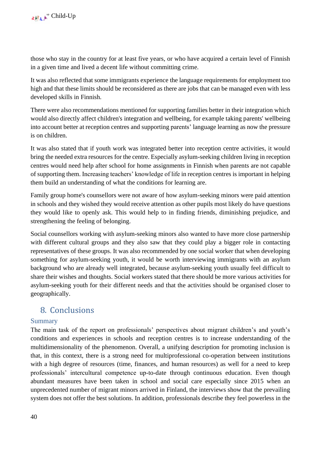those who stay in the country for at least five years, or who have acquired a certain level of Finnish in a given time and lived a decent life without committing crime.

It was also reflected that some immigrants experience the language requirements for employment too high and that these limits should be reconsidered as there are jobs that can be managed even with less developed skills in Finnish.

There were also recommendations mentioned for supporting families better in their integration which would also directly affect children's integration and wellbeing, for example taking parents' wellbeing into account better at reception centres and supporting parents' language learning as now the pressure is on children.

It was also stated that if youth work was integrated better into reception centre activities, it would bring the needed extra resources for the centre. Especially asylum-seeking children living in reception centres would need help after school for home assignments in Finnish when parents are not capable of supporting them. Increasing teachers' knowledge of life in reception centres is important in helping them build an understanding of what the conditions for learning are.

Family group home's counsellors were not aware of how asylum-seeking minors were paid attention in schools and they wished they would receive attention as other pupils most likely do have questions they would like to openly ask. This would help to in finding friends, diminishing prejudice, and strengthening the feeling of belonging.

Social counsellors working with asylum-seeking minors also wanted to have more close partnership with different cultural groups and they also saw that they could play a bigger role in contacting representatives of these groups. It was also recommended by one social worker that when developing something for asylum-seeking youth, it would be worth interviewing immigrants with an asylum background who are already well integrated, because asylum-seeking youth usually feel difficult to share their wishes and thoughts. Social workers stated that there should be more various activities for asylum-seeking youth for their different needs and that the activities should be organised closer to geographically.

## <span id="page-40-0"></span>8. Conclusions

## <span id="page-40-1"></span>Summary

The main task of the report on professionals' perspectives about migrant children's and youth's conditions and experiences in schools and reception centres is to increase understanding of the multidimensionality of the phenomenon. Overall, a unifying description for promoting inclusion is that, in this context, there is a strong need for multiprofessional co-operation between institutions with a high degree of resources (time, finances, and human resources) as well for a need to keep professionals' intercultural competence up-to-date through continuous education. Even though abundant measures have been taken in school and social care especially since 2015 when an unprecedented number of migrant minors arrived in Finland, the interviews show that the prevailing system does not offer the best solutions. In addition, professionals describe they feel powerless in the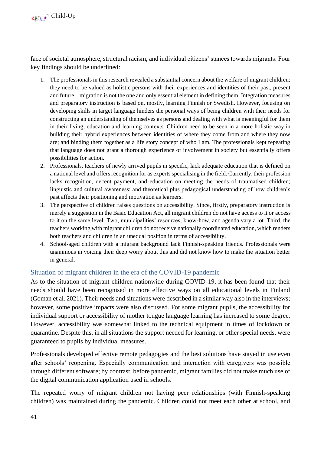face of societal atmosphere, structural racism, and individual citizens' stances towards migrants. Four key findings should be underlined:

- 1. The professionals in this research revealed a substantial concern about the welfare of migrant children: they need to be valued as holistic persons with their experiences and identities of their past, present and future – migration is not the one and only essential element in defining them. Integration measures and preparatory instruction is based on, mostly, learning Finnish or Swedish. However, focusing on developing skills in target language hinders the personal ways of being children with their needs for constructing an understanding of themselves as persons and dealing with what is meaningful for them in their living, education and learning contexts. Children need to be seen in a more holistic way in building their hybrid experiences between identities of where they come from and where they now are; and binding them together as a life story concept of who I am. The professionals kept repeating that language does not grant a thorough experience of involvement in society but essentially offers possibilities for action.
- 2. Professionals, teachers of newly arrived pupils in specific, lack adequate education that is defined on a national level and offers recognition for as experts specialising in the field. Currently, their profession lacks recognition, decent payment, and education on meeting the needs of traumatised children; linguistic and cultural awareness; and theoretical plus pedagogical understanding of how children's past affects their positioning and motivation as learners.
- 3. The perspective of children raises questions on accessibility. Since, firstly, preparatory instruction is merely a suggestion in the Basic Education Act, all migrant children do not have access to it or access to it on the same level. Two, municipalities' resources, know-how, and agenda vary a lot. Third, the teachers working with migrant children do not receive nationally coordinated education, which renders both teachers and children in an unequal position in terms of accessibility.
- 4. School-aged children with a migrant background lack Finnish-speaking friends. Professionals were unanimous in voicing their deep worry about this and did not know how to make the situation better in general.

## <span id="page-41-0"></span>Situation of migrant children in the era of the COVID-19 pandemic

As to the situation of migrant children nationwide during COVID-19, it has been found that their needs should have been recognised in more effective ways on all educational levels in Finland (Goman et al. 2021). Their needs and situations were described in a similar way also in the interviews; however, some positive impacts were also discussed. For some migrant pupils, the accessibility for individual support or accessibility of mother tongue language learning has increased to some degree. However, accessibility was somewhat linked to the technical equipment in times of lockdown or quarantine. Despite this, in all situations the support needed for learning, or other special needs, were guaranteed to pupils by individual measures.

Professionals developed effective remote pedagogies and the best solutions have stayed in use even after schools' reopening. Especially communication and interaction with caregivers was possible through different software; by contrast, before pandemic, migrant families did not make much use of the digital communication application used in schools.

The repeated worry of migrant children not having peer relationships (with Finnish-speaking children) was maintained during the pandemic. Children could not meet each other at school, and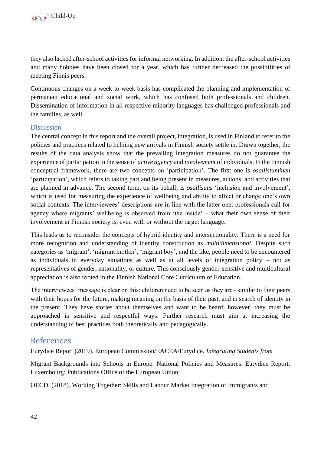they also lacked after-school activities for informal networking. In addition, the after-school activities and many hobbies have been closed for a year, which has further decreased the possibilities of meeting Finnis peers.

Continuous changes on a week-to-week basis has complicated the planning and implementation of permanent educational and social work, which has confused both professionals and children. Dissemination of information in all respective minority languages has challenged professionals and the families, as well.

### <span id="page-42-0"></span>**Discussion**

The central concept in this report and the overall project, integration, is used in Finland to refer to the policies and practices related to helping new arrivals in Finnish society settle in. Drawn together, the results of the data analysis show that the prevailing integration measures do not guarantee the experience of participation in the sense of *active agency* and *involvement* of individuals. In the Finnish conceptual framework, there are two concepts on 'participation'. The first one is *osallistuminen*  'participation', which refers to taking part and being present in measures, actions, and activities that are planned in advance. The second term, on its behalf, is *osallisuus* 'inclusion and involvement'*,*  which is used for measuring the experience of wellbeing and ability to affect or change one's own social contexts. The interviewees' descriptions are in line with the latter one: professionals call for agency where migrants' wellbeing is observed from 'the inside' – what their own sense of their involvement in Finnish society is, even with or without the target language.

This leads us to reconsider the concepts of hybrid identity and intersectionality. There is a need for more recognition and understanding of identity construction as *multidimensional*. Despite such categories as 'migrant', 'migrant mother', 'migrant boy', and the like, people need to be encountered as individuals in everyday situations as well as at all levels of integration policy – not as representatives of gender, nationality, or culture. This consciously gender-sensitive and multicultural appreciation is also rooted in the Finnish National Core Curriculum of Education.

The interviewees' message is clear on this: children need to be seen as they are– similar to their peers with their hopes for the future, making meaning on the basis of their past, and in search of identity in the present. They have stories about themselves and want to be heard; however, they must be approached in sensitive and respectful ways. Further research must aim at increasing the understanding of best practices both theoretically and pedagogically.

## <span id="page-42-1"></span>References

Eurydice Report (2019). European Commission/EACEA/Eurydice. *Integrating Students from* 

Migrant Backgrounds into Schools in Europe: National Policies and Measures. Eurydice Report. Luxembourg: Publications Office of the European Union.

OECD. (2018). Working Together: Skills and Labour Market Integration of Immigrants and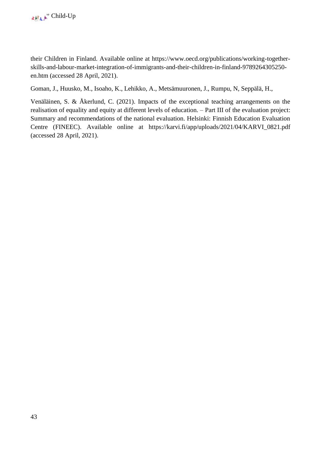their Children in Finland. Available online at [https://www.oecd.org/publications/working-together](https://www.oecd.org/publications/working-together-skills-and-labour-market-integration-of-immigrants-and-their-children-in-finland-9789264305250-en.htm)[skills-and-labour-market-integration-of-immigrants-and-their-children-in-finland-9789264305250](https://www.oecd.org/publications/working-together-skills-and-labour-market-integration-of-immigrants-and-their-children-in-finland-9789264305250-en.htm) [en.htm](https://www.oecd.org/publications/working-together-skills-and-labour-market-integration-of-immigrants-and-their-children-in-finland-9789264305250-en.htm) (accessed 28 April, 2021).

Goman, J., Huusko, M., Isoaho, K., Lehikko, A., Metsämuuronen, J., Rumpu, N, Seppälä, H.,

Venäläinen, S. & Åkerlund, C. (2021). Impacts of the exceptional teaching arrangements on the realisation of equality and equity at different levels of education. – Part III of the evaluation project: Summary and recommendations of the national evaluation. Helsinki: Finnish Education Evaluation Centre (FINEEC). Available online at [https://karvi.fi/app/uploads/2021/04/KARVI\\_0821.pdf](https://karvi.fi/app/uploads/2021/04/KARVI_0821.pdf)  (accessed 28 April, 2021).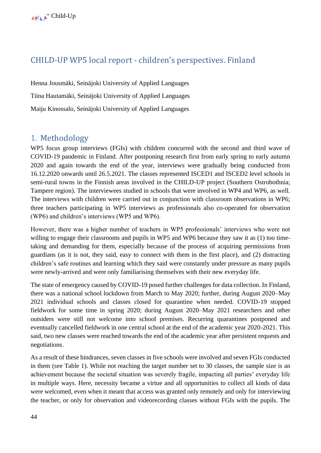## <span id="page-44-0"></span>CHILD-UP WP5 local report - children's perspectives. Finland

Henna Jousmäki, Seinäjoki University of Applied Languages Tiina Hautamäki, Seinäjoki University of Applied Languages Maiju Kinossalo, Seinäjoki University of Applied Languages

## <span id="page-44-1"></span>1. Methodology

WP5 focus group interviews (FGIs) with children concurred with the second and third wave of COVID-19 pandemic in Finland. After postponing research first from early spring to early autumn 2020 and again towards the end of the year, interviews were gradually being conducted from 16.12.2020 onwards until 26.5.2021. The classes represented ISCED1 and ISCED2 level schools in semi-rural towns in the Finnish areas involved in the CHILD-UP project (Southern Ostrobothnia; Tampere region). The interviewees studied in schools that were involved in WP4 and WP6, as well. The interviews with children were carried out in conjunction with classroom observations in WP6; three teachers participating in WP5 interviews as professionals also co-operated for observation (WP6) and children's interviews (WP5 and WP6).

However, there was a higher number of teachers in WP5 professionals' interviews who were not willing to engage their classrooms and pupils in WP5 and WP6 because they saw it as (1) too timetaking and demanding for them, especially because of the process of acquiring permissions from guardians (as it is not, they said, easy to connect with them in the first place), and (2) distracting children's safe routines and learning which they said were constantly under pressure as many pupils were newly-arrived and were only familiarising themselves with their new everyday life.

The state of emergency caused by COVID-19 posed further challenges for data collection. In Finland, there was a national school lockdown from March to May 2020; further, during August 2020–May 2021 individual schools and classes closed for quarantine when needed. COVID-19 stopped fieldwork for some time in spring 2020; during August 2020–May 2021 researchers and other outsiders were still not welcome into school premises. Recurring quarantines postponed and eventually cancelled fieldwork in one central school at the end of the academic year 2020-2021. This said, two new classes were reached towards the end of the academic year after persistent requests and negotiations.

As a result of these hindrances, seven classes in five schools were involved and seven FGIs conducted in them (see Table 1). While not reaching the target number set to 30 classes, the sample size is an achievement because the societal situation was severely fragile, impacting all parties' everyday life in multiple ways. Here, necessity became a virtue and all opportunities to collect all kinds of data were welcomed, even when it meant that access was granted only remotely and only for interviewing the teacher, or only for observation and videorecording classes without FGIs with the pupils. The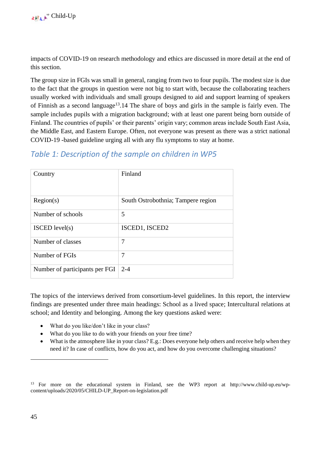impacts of COVID-19 on research methodology and ethics are discussed in more detail at the end of this section.

The group size in FGIs was small in general, ranging from two to four pupils. The modest size is due to the fact that the groups in question were not big to start with, because the collaborating teachers usually worked with individuals and small groups designed to aid and support learning of speakers of Finnish as a second language<sup>13</sup>.14 The share of boys and girls in the sample is fairly even. The sample includes pupils with a migration background; with at least one parent being born outside of Finland. The countries of pupils' or their parents' origin vary; common areas include South East Asia, the Middle East, and Eastern Europe. Often, not everyone was present as there was a strict national COVID-19 -based guideline urging all with any flu symptoms to stay at home.

## *Table 1: Description of the sample on children in WP5*

| Country                        | Finland                            |
|--------------------------------|------------------------------------|
| Region(s)                      | South Ostrobothnia; Tampere region |
| Number of schools              | 5                                  |
| $ISCED$ level(s)               | ISCED1, ISCED2                     |
| Number of classes              | 7                                  |
| Number of FGIs                 | 7                                  |
| Number of participants per FGI | $2 - 4$                            |

The topics of the interviews derived from consortium-level guidelines. In this report, the interview findings are presented under three main headings: School as a lived space; Intercultural relations at school; and Identity and belonging. Among the key questions asked were:

- What do you like/don't like in your class?
- What do you like to do with your friends on your free time?
- What is the atmosphere like in your class? E.g.: Does everyone help others and receive help when they need it? In case of conflicts, how do you act, and how do you overcome challenging situations?

<sup>13</sup> For more on the educational system in Finland, see the WP3 report at [http://www.child-up.eu/wp](http://www.child-up.eu/wp-content/uploads/2020/05/CHILD-UP_Report-on-legislation.pdf)[content/uploads/2020/05/CHILD-UP\\_Report-on-legislation.pdf](http://www.child-up.eu/wp-content/uploads/2020/05/CHILD-UP_Report-on-legislation.pdf)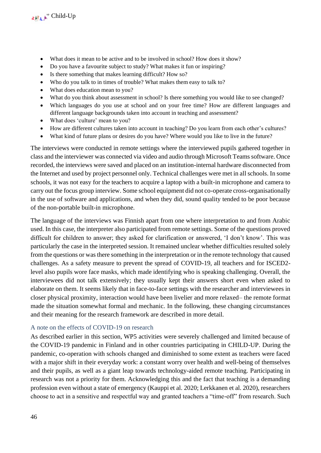- What does it mean to be active and to be involved in school? How does it show?
- Do you have a favourite subject to study? What makes it fun or inspiring?
- Is there something that makes learning difficult? How so?
- Who do you talk to in times of trouble? What makes them easy to talk to?
- What does education mean to you?
- What do you think about assessment in school? Is there something you would like to see changed?
- Which languages do you use at school and on your free time? How are different languages and different language backgrounds taken into account in teaching and assessment?
- What does 'culture' mean to you?
- How are different cultures taken into account in teaching? Do you learn from each other's cultures?
- What kind of future plans or desires do you have? Where would you like to live in the future?

The interviews were conducted in remote settings where the interviewed pupils gathered together in class and the interviewer was connected via video and audio through Microsoft Teams software. Once recorded, the interviews were saved and placed on an institution-internal hardware disconnected from the Internet and used by project personnel only. Technical challenges were met in all schools. In some schools, it was not easy for the teachers to acquire a laptop with a built-in microphone and camera to carry out the focus group interview. Some school equipment did not co-operate cross-organisationally in the use of software and applications, and when they did, sound quality tended to be poor because of the non-portable built-in microphone.

The language of the interviews was Finnish apart from one where interpretation to and from Arabic used. In this case, the interpreter also participated from remote settings. Some of the questions proved difficult for children to answer; they asked for clarification or answered, 'I don't know'. This was particularly the case in the interpreted session. It remained unclear whether difficulties resulted solely from the questions or was there something in the interpretation or in the remote technology that caused challenges. As a safety measure to prevent the spread of COVID-19, all teachers and for ISCED2 level also pupils wore face masks, which made identifying who is speaking challenging. Overall, the interviewees did not talk extensively; they usually kept their answers short even when asked to elaborate on them. It seems likely that in face-to-face settings with the researcher and interviewees in closer physical proximity, interaction would have been livelier and more relaxed– the remote format made the situation somewhat formal and mechanic. In the following, these changing circumstances and their meaning for the research framework are described in more detail.

## <span id="page-46-0"></span>A note on the effects of COVID-19 on research

As described earlier in this section, WP5 activities were severely challenged and limited because of the COVID-19 pandemic in Finland and in other countries participating in CHILD-UP. During the pandemic, co-operation with schools changed and diminished to some extent as teachers were faced with a major shift in their everyday work: a constant worry over health and well-being of themselves and their pupils, as well as a giant leap towards technology-aided remote teaching. Participating in research was not a priority for them. Acknowledging this and the fact that teaching is a demanding profession even without a state of emergency (Kauppi et al. 2020; Lerkkanen et al. 2020), researchers choose to act in a sensitive and respectful way and granted teachers a "time-off" from research. Such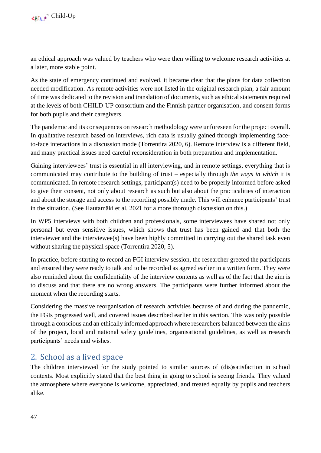an ethical approach was valued by teachers who were then willing to welcome research activities at a later, more stable point.

As the state of emergency continued and evolved, it became clear that the plans for data collection needed modification. As remote activities were not listed in the original research plan, a fair amount of time was dedicated to the revision and translation of documents, such as ethical statements required at the levels of both CHILD-UP consortium and the Finnish partner organisation, and consent forms for both pupils and their caregivers.

The pandemic and its consequences on research methodology were unforeseen for the project overall. In qualitative research based on interviews, rich data is usually gained through implementing faceto-face interactions in a discussion mode (Torrentira 2020, 6). Remote interview is a different field, and many practical issues need careful reconsideration in both preparation and implementation.

Gaining interviewees' trust is essential in all interviewing, and in remote settings, everything that is communicated may contribute to the building of trust – especially through *the ways in which* it is communicated. In remote research settings, participant(s) need to be properly informed before asked to give their consent, not only about research as such but also about the practicalities of interaction and about the storage and access to the recording possibly made. This will enhance participants' trust in the situation. (See Hautamäki et al. 2021 for a more thorough discussion on this.)

In WP5 interviews with both children and professionals, some interviewees have shared not only personal but even sensitive issues, which shows that trust has been gained and that both the interviewer and the interviewee(s) have been highly committed in carrying out the shared task even without sharing the physical space (Torrentira 2020, 5).

In practice, before starting to record an FGI interview session, the researcher greeted the participants and ensured they were ready to talk and to be recorded as agreed earlier in a written form. They were also reminded about the confidentiality of the interview contents as well as of the fact that the aim is to discuss and that there are no wrong answers. The participants were further informed about the moment when the recording starts.

Considering the massive reorganisation of research activities because of and during the pandemic, the FGIs progressed well, and covered issues described earlier in this section. This was only possible through a conscious and an ethically informed approach where researchers balanced between the aims of the project, local and national safety guidelines, organisational guidelines, as well as research participants' needs and wishes.

## <span id="page-47-0"></span>2. School as a lived space

The children interviewed for the study pointed to similar sources of (dis)satisfaction in school contexts. Most explicitly stated that the best thing in going to school is seeing friends. They valued the atmosphere where everyone is welcome, appreciated, and treated equally by pupils and teachers alike.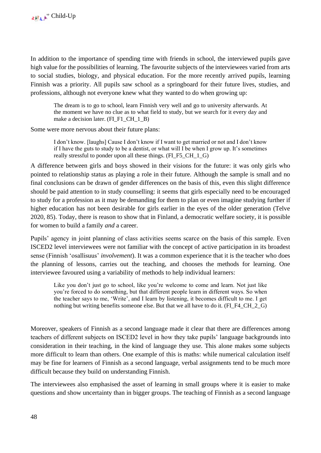In addition to the importance of spending time with friends in school, the interviewed pupils gave high value for the possibilities of learning. The favourite subjects of the interviewees varied from arts to social studies, biology, and physical education. For the more recently arrived pupils, learning Finnish was a priority. All pupils saw school as a springboard for their future lives, studies, and professions, although not everyone knew what they wanted to do when growing up:

The dream is to go to school, learn Finnish very well and go to university afterwards. At the moment we have no clue as to what field to study, but we search for it every day and make a decision later. (FI\_F1\_CH\_1\_B)

Some were more nervous about their future plans:

I don't know. [laughs] Cause I don't know if I want to get married or not and I don't know if I have the guts to study to be a dentist, or what will I be when I grow up. It's sometimes really stressful to ponder upon all these things. (FI\_F5\_CH\_1\_G)

A difference between girls and boys showed in their visions for the future: it was only girls who pointed to relationship status as playing a role in their future. Although the sample is small and no final conclusions can be drawn of gender differences on the basis of this, even this slight difference should be paid attention to in study counselling: it seems that girls especially need to be encouraged to study for a profession as it may be demanding for them to plan or even imagine studying further if higher education has not been desirable for girls earlier in the eyes of the older generation (Telve 2020, 85). Today, there is reason to show that in Finland, a democratic welfare society, it is possible for women to build a family *and* a career.

Pupils' agency in joint planning of class activities seems scarce on the basis of this sample. Even ISCED2 level interviewees were not familiar with the concept of active participation in its broadest sense (Finnish 'osallisuus' *involvement*). It was a common experience that it is the teacher who does the planning of lessons, carries out the teaching, and chooses the methods for learning. One interviewee favoured using a variability of methods to help individual learners:

Like you don't just go to school, like you're welcome to come and learn. Not just like you're forced to do something, but that different people learn in different ways. So when the teacher says to me, 'Write', and I learn by listening, it becomes difficult to me. I get nothing but writing benefits someone else. But that we all have to do it. (FI\_F4\_CH\_2\_G)

Moreover, speakers of Finnish as a second language made it clear that there are differences among teachers of different subjects on ISCED2 level in how they take pupils' language backgrounds into consideration in their teaching, in the kind of language they use. This alone makes some subjects more difficult to learn than others. One example of this is maths: while numerical calculation itself may be fine for learners of Finnish as a second language, verbal assignments tend to be much more difficult because they build on understanding Finnish.

The interviewees also emphasised the asset of learning in small groups where it is easier to make questions and show uncertainty than in bigger groups. The teaching of Finnish as a second language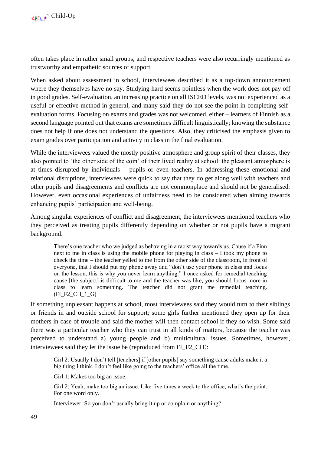often takes place in rather small groups, and respective teachers were also recurringly mentioned as trustworthy and empathetic sources of support.

When asked about assessment in school, interviewees described it as a top-down announcement where they themselves have no say. Studying hard seems pointless when the work does not pay off in good grades. Self-evaluation, an increasing practice on all ISCED levels, was not experienced as a useful or effective method in general, and many said they do not see the point in completing selfevaluation forms. Focusing on exams and grades was not welcomed, either – learners of Finnish as a second language pointed out that exams are sometimes difficult linguistically; knowing the substance does not help if one does not understand the questions. Also, they criticised the emphasis given to exam grades over participation and activity in class in the final evaluation.

While the interviewees valued the mostly positive atmosphere and group spirit of their classes, they also pointed to 'the other side of the coin' of their lived reality at school: the pleasant atmosphere is at times disrupted by individuals – pupils or even teachers. In addressing these emotional and relational disruptions, interviewees were quick to say that they do get along well with teachers and other pupils and disagreements and conflicts are not commonplace and should not be generalised. However, even occasional experiences of unfairness need to be considered when aiming towards enhancing pupils' participation and well-being.

Among singular experiences of conflict and disagreement, the interviewees mentioned teachers who they perceived as treating pupils differently depending on whether or not pupils have a migrant background.

There's one teacher who we judged as behaving in a racist way towards us. Cause if a Finn next to me in class is using the mobile phone for playing in class – I took my phone to check the time – the teacher yelled to me from the other side of the classroom, in front of everyone, that I should put my phone away and "don't use your phone in class and focus on the lesson, this is why you never learn anything." I once asked for remedial teaching cause [the subject] is difficult to me and the teacher was like, you should focus more in class to learn something. The teacher did not grant me remedial teaching. (FI\_F2\_CH\_1\_G)

If something unpleasant happens at school, most interviewees said they would turn to their siblings or friends in and outside school for support; some girls further mentioned they open up for their mothers in case of trouble and said the mother will then contact school if they so wish. Some said there was a particular teacher who they can trust in all kinds of matters, because the teacher was perceived to understand a) young people and b) multicultural issues. Sometimes, however, interviewees said they let the issue be (reproduced from FI\_F2\_CH):

Girl 2: Usually I don't tell [teachers] if [other pupils] say something cause adults make it a big thing I think. I don't feel like going to the teachers' office all the time.

Girl 1: Makes too big an issue.

Girl 2: Yeah, make too big an issue. Like five times a week to the office, what's the point. For one word only.

Interviewer: So you don't usually bring it up or complain or anything?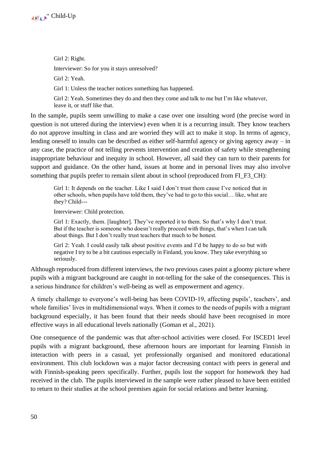

Girl 2: Right. Interviewer: So for you it stays unresolved? Girl 2: Yeah. Girl 1: Unless the teacher notices something has happened.

Girl 2: Yeah. Sometimes they do and then they come and talk to me but I'm like whatever, leave it, or stuff like that.

In the sample, pupils seem unwilling to make a case over one insulting word (the precise word in question is not uttered during the interview) even when it is a recurring insult. They know teachers do not approve insulting in class and are worried they will act to make it stop. In terms of agency, lending oneself to insults can be described as either self-harmful agency or giving agency away – in any case, the practice of not telling prevents intervention and creation of safety while strengthening inappropriate behaviour and inequity in school. However, all said they can turn to their parents for support and guidance. On the other hand, issues at home and in personal lives may also involve something that pupils prefer to remain silent about in school (reproduced from FI\_F3\_CH):

Girl 1: It depends on the teacher. Like I said I don't trust them cause I've noticed that in other schools, when pupils have told them, they've had to go to this social… like, what are they? Child---

Interviewer: Child protection.

Girl 1: Exactly, them. [laughter]. They've reported it to them. So that's why I don't trust. But if the teacher is someone who doesn't really proceed with things, that's when I can talk about things. But I don't really trust teachers that much to be honest.

Girl 2: Yeah. I could easily talk about positive events and I'd be happy to do so but with negative I try to be a bit cautious especially in Finland, you know. They take everything so seriously.

Although reproduced from different interviews, the two previous cases paint a gloomy picture where pupils with a migrant background are caught in not-telling for the sake of the consequences. This is a serious hindrance for children's well-being as well as empowerment and agency.

A timely challenge to everyone's well-being has been COVID-19, affecting pupils', teachers', and whole families' lives in multidimensional ways. When it comes to the needs of pupils with a migrant background especially, it has been found that their needs should have been recognised in more effective ways in all educational levels nationally (Goman et al., 2021).

One consequence of the pandemic was that after-school activities were closed. For ISCED1 level pupils with a migrant background, these afternoon hours are important for learning Finnish in interaction with peers in a casual, yet professionally organised and monitored educational environment. This club lockdown was a major factor decreasing contact with peers in general and with Finnish-speaking peers specifically. Further, pupils lost the support for homework they had received in the club. The pupils interviewed in the sample were rather pleased to have been entitled to return to their studies at the school premises again for social relations and better learning.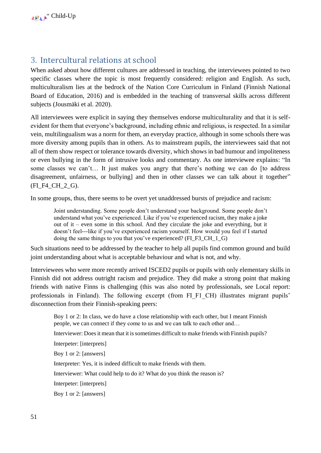## <span id="page-51-0"></span>3. Intercultural relations at school

When asked about how different cultures are addressed in teaching, the interviewees pointed to two specific classes where the topic is most frequently considered: religion and English. As such, multiculturalism lies at the bedrock of the Nation Core Curriculum in Finland (Finnish National Board of Education, 2016) and is embedded in the teaching of transversal skills across different subjects (Jousmäki et al. 2020).

All interviewees were explicit in saying they themselves endorse multiculturality and that it is selfevident for them that everyone's background, including ethnic and religious, is respected. In a similar vein, multilingualism was a norm for them, an everyday practice, although in some schools there was more diversity among pupils than in others. As to mainstream pupils, the interviewees said that not all of them show respect or tolerance towards diversity, which shows in bad humour and impoliteness or even bullying in the form of intrusive looks and commentary. As one interviewee explains: "In some classes we can't… It just makes you angry that there's nothing we can do [to address disagreement, unfairness, or bullying] and then in other classes we can talk about it together" (FI\_F4\_CH\_2\_G).

In some groups, thus, there seems to be overt yet unaddressed bursts of prejudice and racism:

Joint understanding. Some people don't understand your background. Some people don't understand what you've experienced. Like if you've experienced racism, they make a joke out of it – even some in this school. And they circulate the joke and everything, but it doesn't feel---like if you've experienced racism yourself. How would you feel if I started doing the same things to you that you've experienced? (FI\_F3\_CH\_1\_G)

Such situations need to be addressed by the teacher to help all pupils find common ground and build joint understanding about what is acceptable behaviour and what is not, and why.

Interviewees who were more recently arrived ISCED2 pupils or pupils with only elementary skills in Finnish did not address outright racism and prejudice. They did make a strong point that making friends with native Finns is challenging (this was also noted by professionals, see Local report: professionals in Finland). The following excerpt (from FI\_F1\_CH) illustrates migrant pupils' disconnection from their Finnish-speaking peers:

Boy 1 or 2: In class, we do have a close relationship with each other, but I meant Finnish people, we can connect if they come to us and we can talk to each other and…

Interviewer: Does it mean that it is sometimes difficult to make friends with Finnish pupils?

Interpeter: [interprets]

Boy 1 or 2: [answers]

Interpreter: Yes, it is indeed difficult to make friends with them.

Interviewer: What could help to do it? What do you think the reason is?

Interpeter: [interprets]

Boy 1 or 2: [answers]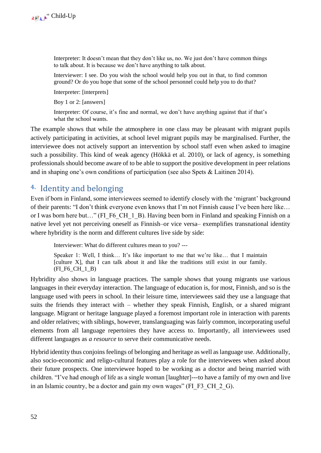Interpreter: It doesn't mean that they don't like us, no. We just don't have common things to talk about. It is because we don't have anything to talk about.

Interviewer: I see. Do you wish the school would help you out in that, to find common ground? Or do you hope that some of the school personnel could help you to do that?

Interpreter: [interprets]

Boy 1 or 2: [answers]

Interpreter: Of course, it's fine and normal, we don't have anything against that if that's what the school wants.

The example shows that while the atmosphere in one class may be pleasant with migrant pupils actively participating in activities, at school level migrant pupils may be marginalised. Further, the interviewee does not actively support an intervention by school staff even when asked to imagine such a possibility. This kind of weak agency (Hökkä et al. 2010), or lack of agency, is something professionals should become aware of to be able to support the positive development in peer relations and in shaping one's own conditions of participation (see also Spets & Laitinen 2014).

## <span id="page-52-0"></span>**4.** Identity and belonging

Even if born in Finland, some interviewees seemed to identify closely with the 'migrant' background of their parents: "I don't think everyone even knows that I'm not Finnish cause I've been here like… or I was born here but..." (FI\_F6\_CH\_1\_B). Having been born in Finland and speaking Finnish on a native level yet not perceiving oneself as Finnish–or vice versa– exemplifies transnational identity where hybridity is the norm and different cultures live side by side:

Interviewer: What do different cultures mean to you? ---

Speaker 1: Well, I think… It's like important to me that we're like… that I maintain [culture X], that I can talk about it and like the traditions still exist in our family. (FI\_F6\_CH\_1\_B)

Hybridity also shows in language practices. The sample shows that young migrants use various languages in their everyday interaction. The language of education is, for most, Finnish, and so is the language used with peers in school. In their leisure time, interviewees said they use a language that suits the friends they interact with – whether they speak Finnish, English, or a shared migrant language. Migrant or heritage language played a foremost important role in interaction with parents and older relatives; with siblings, however, translanguaging was fairly common, incorporating useful elements from all language repertoires they have access to. Importantly, all interviewees used different languages as *a resource* to serve their communicative needs.

Hybrid identity thus conjoins feelings of belonging and heritage as well as language use. Additionally, also socio-economic and religo-cultural features play a role for the interviewees when asked about their future prospects. One interviewee hoped to be working as a doctor and being married with children. "I've had enough of life as a single woman [laughter]---to have a family of my own and live in an Islamic country, be a doctor and gain my own wages" (FI\_F3\_CH\_2\_G).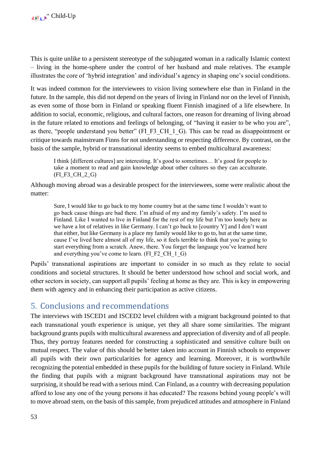This is quite unlike to a persistent stereotype of the subjugated woman in a radically Islamic context – living in the home-sphere under the control of her husband and male relatives. The example illustrates the core of 'hybrid integration' and individual's agency in shaping one's social conditions.

It was indeed common for the interviewees to vision living somewhere else than in Finland in the future. In the sample, this did not depend on the years of living in Finland nor on the level of Finnish, as even some of those born in Finland or speaking fluent Finnish imagined of a life elsewhere. In addition to social, economic, religious, and cultural factors, one reason for dreaming of living abroad in the future related to emotions and feelings of belonging, of "having it easier to be who you are", as there, "people understand you better" (FI\_F3\_CH\_1\_G). This can be read as disappointment or critique towards mainstream Finns for not understanding or respecting difference. By contrast, on the basis of the sample, hybrid or transnational identity seems to embed multicultural awareness:

I think [different cultures] are interesting. It's good to sometimes… It's good for people to take a moment to read and gain knowledge about other cultures so they can acculturate. (FI\_F3\_CH\_2\_G)

Although moving abroad was a desirable prospect for the interviewees, some were realistic about the matter:

Sure, I would like to go back to my home country but at the same time I wouldn't want to go back cause things are bad there. I'm afraid of my and my family's safety. I'm used to Finland. Like I wanted to live in Finland for the rest of my life but I'm too lonely here as we have a lot of relatives in like Germany. I can't go back to [country Y] and I don't want that either, but like Germany is a place my family would like to go to, but at the same time, cause I've lived here almost all of my life, so it feels terrible to think that you're going to start everything from a scratch. Anew, there. You forget the language you've learned here and everything you've come to learn. (FI\_F2\_CH\_1\_G)

Pupils' transnational aspirations are important to consider in so much as they relate to social conditions and societal structures. It should be better understood how school and social work, and other sectors in society, can support all pupils' feeling at home as they are. This is key in empowering them with agency and in enhancing their participation as active citizens.

## <span id="page-53-0"></span>5. Conclusions and recommendations

The interviews with ISCED1 and ISCED2 level children with a migrant background pointed to that each transnational youth experience is unique, yet they all share some similarities. The migrant background grants pupils with multicultural awareness and appreciation of diversity and of all people. Thus, they portray features needed for constructing a sophisticated and sensitive culture built on mutual respect. The value of this should be better taken into account in Finnish schools to empower all pupils with their own particularities for agency and learning. Moreover, it is worthwhile recognizing the potential embedded in these pupils for the building of future society in Finland. While the finding that pupils with a migrant background have transnational aspirations may not be surprising, it should be read with a serious mind. Can Finland, as a country with decreasing population afford to lose any one of the young persons it has educated? The reasons behind young people's will to move abroad stem, on the basis of this sample, from prejudiced attitudes and atmosphere in Finland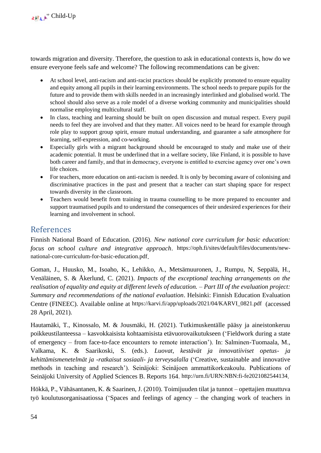towards migration and diversity. Therefore, the question to ask in educational contexts is, how do we ensure everyone feels safe and welcome? The following recommendations can be given:

- At school level, anti-racism and anti-racist practices should be explicitly promoted to ensure equality and equity among all pupils in their learning environments. The school needs to prepare pupils for the future and to provide them with skills needed in an increasingly interlinked and globalised world. The school should also serve as a role model of a diverse working community and municipalities should normalise employing multicultural staff.
- In class, teaching and learning should be built on open discussion and mutual respect. Every pupil needs to feel they are involved and that they matter. All voices need to be heard for example through role play to support group spirit, ensure mutual understanding, and guarantee a safe atmosphere for learning, self-expression, and co-working.
- Especially girls with a migrant background should be encouraged to study and make use of their academic potential. It must be underlined that in a welfare society, like Finland, it is possible to have both career and family, and that in democracy, everyone is entitled to exercise agency over one's own life choices.
- For teachers, more education on anti-racism is needed. It is only by becoming aware of colonising and discriminative practices in the past and present that a teacher can start shaping space for respect towards diversity in the classroom.
- Teachers would benefit from training in trauma counselling to be more prepared to encounter and support traumatised pupils and to understand the consequences of their undesired experiences for their learning and involvement in school.

## <span id="page-54-0"></span>References

Finnish National Board of Education. (2016). *New national core curriculum for basic education: focus on school culture and integrative approach*. [https://oph.fi/sites/default/files/documents/new](https://oph.fi/sites/default/files/documents/new-national-core-curriculum-for-basic-education.pdf)[national-core-curriculum-for-basic-education.pdf](https://oph.fi/sites/default/files/documents/new-national-core-curriculum-for-basic-education.pdf).

Goman, J., Huusko, M., Isoaho, K., Lehikko, A., Metsämuuronen, J., Rumpu, N, Seppälä, H., Venäläinen, S. & Åkerlund, C. (2021). *Impacts of the exceptional teaching arrangements on the realisation of equality and equity at different levels of education. – Part III of the evaluation project: Summary and recommendations of the national evaluation*. Helsinki: Finnish Education Evaluation Centre (FINEEC). Available online at [https://karvi.fi/app/uploads/2021/04/KARVI\\_0821.pdf](https://karvi.fi/app/uploads/2021/04/KARVI_0821.pdf) (accessed 28 April, 2021).

Hautamäki, T., Kinossalo, M. & Jousmäki, H. (2021). Tutkimuskentälle pääsy ja aineistonkeruu poikkeustilanteessa – kasvokkaisista kohtaamisista etävuorovaikutukseen ('Fieldwork during a state of emergency – from face-to-face encounters to remote interaction'). In: Salminen-Tuomaala, M., Valkama, K. & Saarikoski, S. (eds.). *Luovat, kestävät ja innovatiiviset opetus- ja kehittämismenetelmät ja -ratkaisut sosiaali- ja terveysalalla* ('Creative, sustainable and innovative methods in teaching and research'). Seinäjoki: Seinäjoen ammattikorkeakoulu. Publications of Seinäjoki University of Applied Sciences B. Reports 164. <http://urn.fi/URN:NBN:fi-fe2021082544134>.

Hökkä, P., Vähäsantanen, K. & Saarinen, J. (2010). Toimijuuden tilat ja tunnot – opettajien muuttuva työ koulutusorganisaatiossa ('Spaces and feelings of agency – the changing work of teachers in